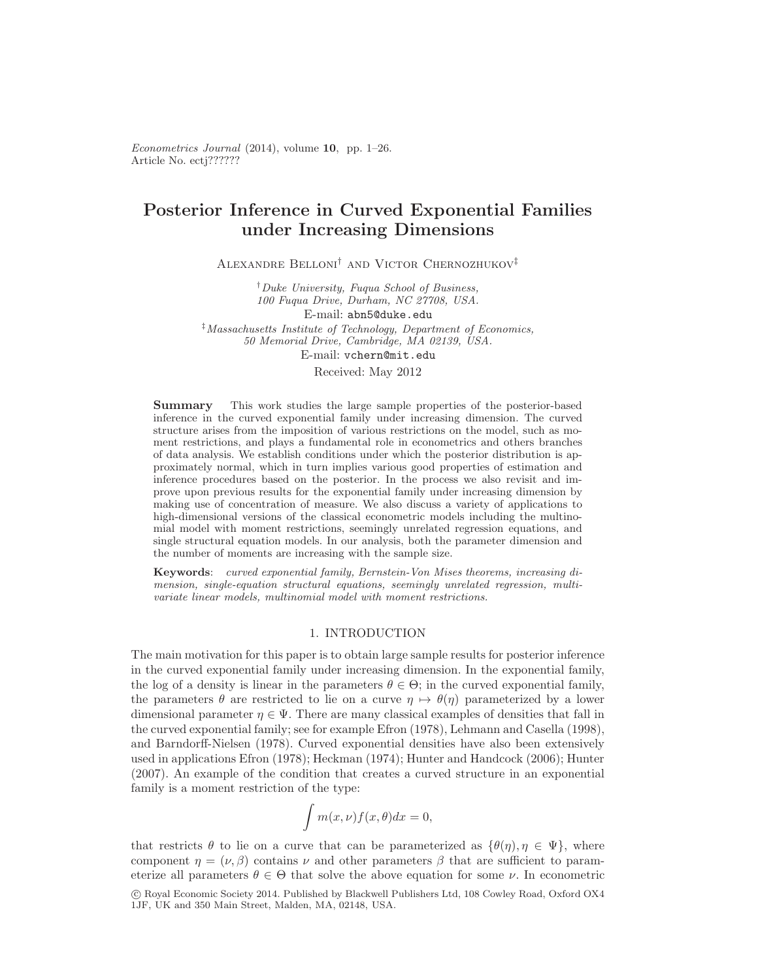Article No. ectj?????? Econometrics Journal (2014), volume 10, pp. 1–26.

# Posterior Inference in Curved Exponential Families under Increasing Dimensions

Alexandre Belloni† and Victor Chernozhukov‡

†Duke University, Fuqua School of Business, 100 Fuqua Drive, Durham, NC 27708, USA.

E-mail: abn5@duke.edu

‡Massachusetts Institute of Technology, Department of Economics, 50 Memorial Drive, Cambridge, MA 02139, USA. E-mail: vchern@mit.edu

#### Received: May 2012

Summary This work studies the large sample properties of the posterior-based inference in the curved exponential family under increasing dimension. The curved structure arises from the imposition of various restrictions on the model, such as moment restrictions, and plays a fundamental role in econometrics and others branches of data analysis. We establish conditions under which the posterior distribution is approximately normal, which in turn implies various good properties of estimation and inference procedures based on the posterior. In the process we also revisit and improve upon previous results for the exponential family under increasing dimension by making use of concentration of measure. We also discuss a variety of applications to high-dimensional versions of the classical econometric models including the multinomial model with moment restrictions, seemingly unrelated regression equations, and single structural equation models. In our analysis, both the parameter dimension and the number of moments are increasing with the sample size.

Keywords: curved exponential family, Bernstein-Von Mises theorems, increasing dimension, single-equation structural equations, seemingly unrelated regression, multivariate linear models, multinomial model with moment restrictions.

# 1. INTRODUCTION

The main motivation for this paper is to obtain large sample results for posterior inference in the curved exponential family under increasing dimension. In the exponential family, the log of a density is linear in the parameters  $\theta \in \Theta$ ; in the curved exponential family, the parameters  $\theta$  are restricted to lie on a curve  $\eta \mapsto \theta(\eta)$  parameterized by a lower dimensional parameter  $\eta \in \Psi$ . There are many classical examples of densities that fall in the curved exponential family; see for example Efron (1978), Lehmann and Casella (1998), and Barndorff-Nielsen (1978). Curved exponential densities have also been extensively used in applications Efron (1978); Heckman (1974); Hunter and Handcock (2006); Hunter (2007). An example of the condition that creates a curved structure in an exponential family is a moment restriction of the type:

$$
\int m(x,\nu)f(x,\theta)dx=0,
$$

that restricts  $\theta$  to lie on a curve that can be parameterized as  $\{\theta(\eta), \eta \in \Psi\}$ , where component  $\eta = (\nu, \beta)$  contains  $\nu$  and other parameters  $\beta$  that are sufficient to parameterize all parameters  $\theta \in \Theta$  that solve the above equation for some  $\nu$ . In econometric c Royal Economic Society 2014. Published by Blackwell Publishers Ltd, 108 Cowley Road, Oxford OX4 1JF, UK and 350 Main Street, Malden, MA, 02148, USA.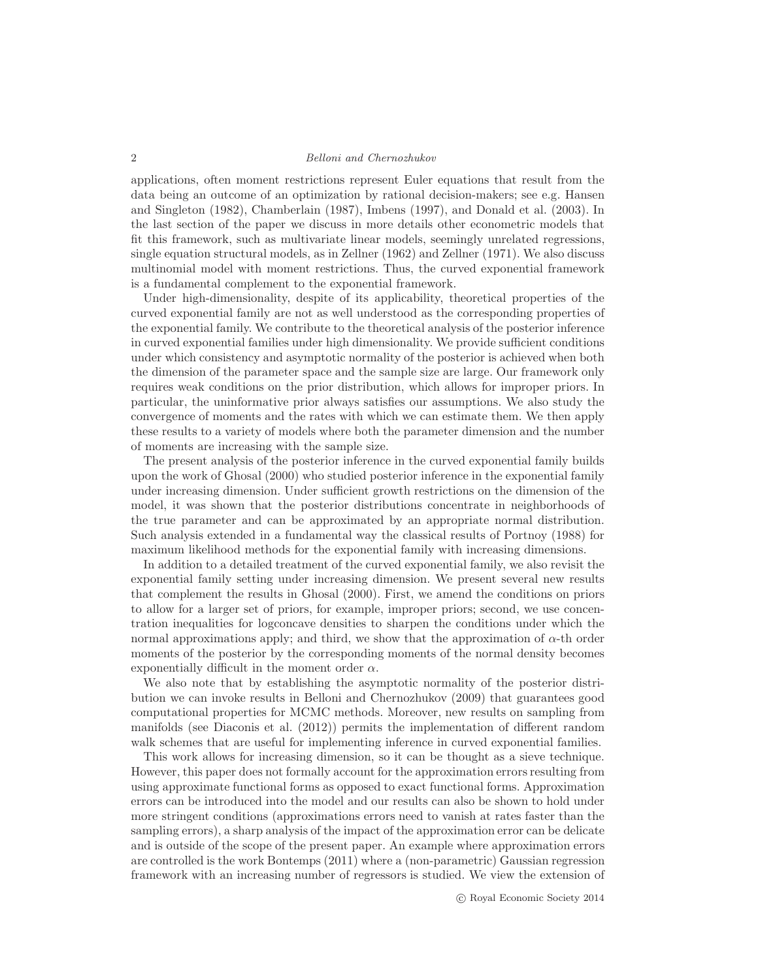applications, often moment restrictions represent Euler equations that result from the data being an outcome of an optimization by rational decision-makers; see e.g. Hansen and Singleton (1982), Chamberlain (1987), Imbens (1997), and Donald et al. (2003). In the last section of the paper we discuss in more details other econometric models that fit this framework, such as multivariate linear models, seemingly unrelated regressions, single equation structural models, as in Zellner (1962) and Zellner (1971). We also discuss multinomial model with moment restrictions. Thus, the curved exponential framework is a fundamental complement to the exponential framework.

Under high-dimensionality, despite of its applicability, theoretical properties of the curved exponential family are not as well understood as the corresponding properties of the exponential family. We contribute to the theoretical analysis of the posterior inference in curved exponential families under high dimensionality. We provide sufficient conditions under which consistency and asymptotic normality of the posterior is achieved when both the dimension of the parameter space and the sample size are large. Our framework only requires weak conditions on the prior distribution, which allows for improper priors. In particular, the uninformative prior always satisfies our assumptions. We also study the convergence of moments and the rates with which we can estimate them. We then apply these results to a variety of models where both the parameter dimension and the number of moments are increasing with the sample size.

The present analysis of the posterior inference in the curved exponential family builds upon the work of Ghosal (2000) who studied posterior inference in the exponential family under increasing dimension. Under sufficient growth restrictions on the dimension of the model, it was shown that the posterior distributions concentrate in neighborhoods of the true parameter and can be approximated by an appropriate normal distribution. Such analysis extended in a fundamental way the classical results of Portnoy (1988) for maximum likelihood methods for the exponential family with increasing dimensions.

In addition to a detailed treatment of the curved exponential family, we also revisit the exponential family setting under increasing dimension. We present several new results that complement the results in Ghosal (2000). First, we amend the conditions on priors to allow for a larger set of priors, for example, improper priors; second, we use concentration inequalities for logconcave densities to sharpen the conditions under which the normal approximations apply; and third, we show that the approximation of  $\alpha$ -th order moments of the posterior by the corresponding moments of the normal density becomes exponentially difficult in the moment order  $\alpha$ .

We also note that by establishing the asymptotic normality of the posterior distribution we can invoke results in Belloni and Chernozhukov (2009) that guarantees good computational properties for MCMC methods. Moreover, new results on sampling from manifolds (see Diaconis et al. (2012)) permits the implementation of different random walk schemes that are useful for implementing inference in curved exponential families.

This work allows for increasing dimension, so it can be thought as a sieve technique. However, this paper does not formally account for the approximation errors resulting from using approximate functional forms as opposed to exact functional forms. Approximation errors can be introduced into the model and our results can also be shown to hold under more stringent conditions (approximations errors need to vanish at rates faster than the sampling errors), a sharp analysis of the impact of the approximation error can be delicate and is outside of the scope of the present paper. An example where approximation errors are controlled is the work Bontemps (2011) where a (non-parametric) Gaussian regression framework with an increasing number of regressors is studied. We view the extension of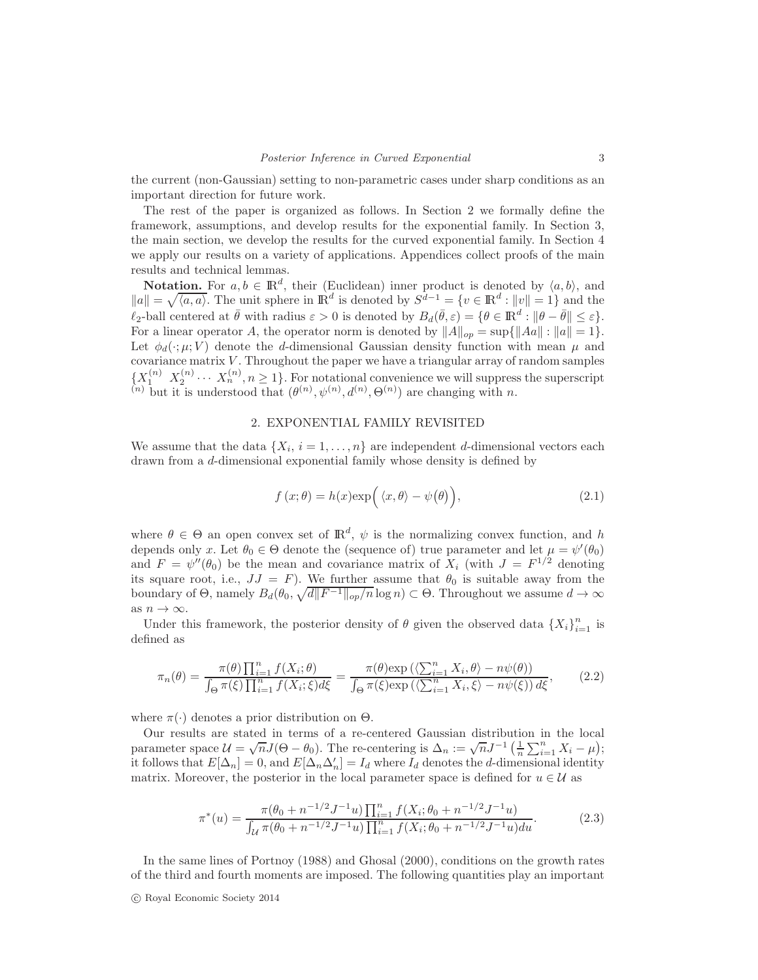the current (non-Gaussian) setting to non-parametric cases under sharp conditions as an important direction for future work.

The rest of the paper is organized as follows. In Section 2 we formally define the framework, assumptions, and develop results for the exponential family. In Section 3, the main section, we develop the results for the curved exponential family. In Section 4 we apply our results on a variety of applications. Appendices collect proofs of the main results and technical lemmas.

**Notation.** For  $a, b \in \mathbb{R}^d$ , their (Euclidean) inner product is denoted by  $\langle a, b \rangle$ , and  $||a|| = \sqrt{\langle a, a \rangle}$ . The unit sphere in  $\mathbb{R}^d$  is denoted by  $S^{d-1} = \{v \in \mathbb{R}^d : ||v|| = 1\}$  and the  $\ell_2$ -ball centered at  $\bar{\theta}$  with radius  $\varepsilon > 0$  is denoted by  $B_d(\bar{\theta}, \varepsilon) = \{ \theta \in \mathbb{R}^d : ||\theta - \bar{\theta}|| \le \varepsilon \}.$ For a linear operator A, the operator norm is denoted by  $||A||_{op} = \sup{||Aa|| : ||a|| = 1}$ . Let  $\phi_d(\cdot;\mu; V)$  denote the *d*-dimensional Gaussian density function with mean  $\mu$  and covariance matrix V. Throughout the paper we have a triangular array of random samples  $\{X_1^{(n)}, X_2^{(n)} \cdots X_n^{(n)}, n \geq 1\}$ . For notational convenience we will suppress the superscript <sup>(n)</sup> but it is understood that  $(\theta^{(n)}, \psi^{(n)}, \theta^{(n)}, \Theta^{(n)})$  are changing with *n*.

# 2. EXPONENTIAL FAMILY REVISITED

We assume that the data  $\{X_i, i = 1, \ldots, n\}$  are independent d-dimensional vectors each drawn from a d-dimensional exponential family whose density is defined by

$$
f(x; \theta) = h(x) \exp\left(\langle x, \theta \rangle - \psi(\theta)\right),\tag{2.1}
$$

where  $\theta \in \Theta$  an open convex set of  $\mathbb{R}^d$ ,  $\psi$  is the normalizing convex function, and h depends only x. Let  $\theta_0 \in \Theta$  denote the (sequence of) true parameter and let  $\mu = \psi'(\theta_0)$ and  $F = \psi''(\theta_0)$  be the mean and covariance matrix of  $X_i$  (with  $J = F^{1/2}$  denoting its square root, i.e.,  $JJ = F$ ). We further assume that  $\theta_0$  is suitable away from the boundary of  $\Theta$ , namely  $B_d(\theta_0, \sqrt{d||F^{-1}||_{op}/n} \log n) \subset \Theta$ . Throughout we assume  $d \to \infty$ as  $n\to\infty.$ 

Under this framework, the posterior density of  $\theta$  given the observed data  $\{X_i\}_{i=1}^n$  is defined as

$$
\pi_n(\theta) = \frac{\pi(\theta) \prod_{i=1}^n f(X_i; \theta)}{\int_{\Theta} \pi(\xi) \prod_{i=1}^n f(X_i; \xi) d\xi} = \frac{\pi(\theta) \exp\left(\left\langle \sum_{i=1}^n X_i, \theta \right\rangle - n\psi(\theta)\right)}{\int_{\Theta} \pi(\xi) \exp\left(\left\langle \sum_{i=1}^n X_i, \xi \right\rangle - n\psi(\xi)\right) d\xi},\tag{2.2}
$$

where  $\pi(\cdot)$  denotes a prior distribution on  $\Theta$ .

Our results are stated in terms of a re-centered Gaussian distribution in the local parameter space  $\mathcal{U} = \sqrt{n}J(\Theta - \theta_0)$ . The re-centering is  $\Delta_n := \sqrt{n}J^{-1}\left(\frac{1}{n}\sum_{i=1}^n X_i - \mu\right);$ it follows that  $E[\Delta_n] = 0$ , and  $E[\Delta_n \Delta'_n] = I_d$  where  $I_d$  denotes the d-dimensional identity matrix. Moreover, the posterior in the local parameter space is defined for  $u \in \mathcal{U}$  as

$$
\pi^*(u) = \frac{\pi(\theta_0 + n^{-1/2}J^{-1}u)\prod_{i=1}^n f(X_i; \theta_0 + n^{-1/2}J^{-1}u)}{\int_{\mathcal{U}} \pi(\theta_0 + n^{-1/2}J^{-1}u)\prod_{i=1}^n f(X_i; \theta_0 + n^{-1/2}J^{-1}u)du}.
$$
\n(2.3)

In the same lines of Portnoy (1988) and Ghosal (2000), conditions on the growth rates of the third and fourth moments are imposed. The following quantities play an important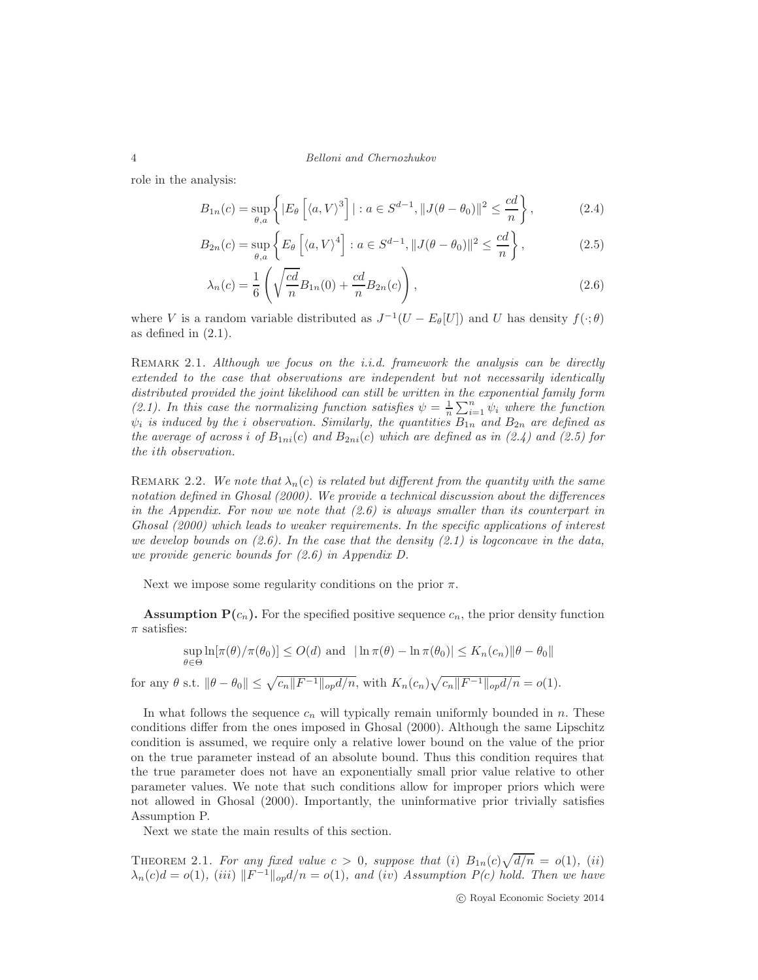role in the analysis:

$$
B_{1n}(c) = \sup_{\theta, a} \left\{ |E_{\theta} \left[ \langle a, V \rangle^3 \right] | : a \in S^{d-1}, ||J(\theta - \theta_0)||^2 \le \frac{cd}{n} \right\},\tag{2.4}
$$

$$
B_{2n}(c) = \sup_{\theta, a} \left\{ E_{\theta} \left[ \langle a, V \rangle^4 \right] : a \in S^{d-1}, ||J(\theta - \theta_0)||^2 \le \frac{cd}{n} \right\},\tag{2.5}
$$

$$
\lambda_n(c) = \frac{1}{6} \left( \sqrt{\frac{cd}{n}} B_{1n}(0) + \frac{cd}{n} B_{2n}(c) \right),\tag{2.6}
$$

where V is a random variable distributed as  $J^{-1}(U - E_{\theta}[U])$  and U has density  $f(\cdot; \theta)$ as defined in  $(2.1)$ .

REMARK 2.1. Although we focus on the *i.i.d.* framework the analysis can be directly extended to the case that observations are independent but not necessarily identically distributed provided the joint likelihood can still be written in the exponential family form (2.1). In this case the normalizing function satisfies  $\psi = \frac{1}{n} \sum_{i=1}^{n} \psi_i$  where the function  $\psi_i$  is induced by the *i* observation. Similarly, the quantities  $B_{1n}$  and  $B_{2n}$  are defined as the average of across i of  $B_{1ni}(c)$  and  $B_{2ni}(c)$  which are defined as in (2.4) and (2.5) for the ith observation.

REMARK 2.2. We note that  $\lambda_n(c)$  is related but different from the quantity with the same notation defined in Ghosal (2000). We provide a technical discussion about the differences in the Appendix. For now we note that  $(2.6)$  is always smaller than its counterpart in Ghosal (2000) which leads to weaker requirements. In the specific applications of interest we develop bounds on  $(2.6)$ . In the case that the density  $(2.1)$  is logconcave in the data, we provide generic bounds for (2.6) in Appendix D.

Next we impose some regularity conditions on the prior  $\pi$ .

**Assumption P(c<sub>n</sub>).** For the specified positive sequence  $c_n$ , the prior density function  $\pi$  satisfies:

$$
\sup_{\theta \in \Theta} \ln[\pi(\theta)/\pi(\theta_0)] \le O(d) \text{ and } |\ln \pi(\theta) - \ln \pi(\theta_0)| \le K_n(c_n) \|\theta - \theta_0\|
$$
  
for any  $\theta$  s.t.  $\|\theta - \theta_0\| \le \sqrt{c_n \|F^{-1}\|_{op} d/n}$ , with  $K_n(c_n) \sqrt{c_n \|F^{-1}\|_{op} d/n} = o(1)$ .

In what follows the sequence  $c_n$  will typically remain uniformly bounded in n. These conditions differ from the ones imposed in Ghosal (2000). Although the same Lipschitz condition is assumed, we require only a relative lower bound on the value of the prior on the true parameter instead of an absolute bound. Thus this condition requires that the true parameter does not have an exponentially small prior value relative to other parameter values. We note that such conditions allow for improper priors which were not allowed in Ghosal (2000). Importantly, the uninformative prior trivially satisfies Assumption P.

Next we state the main results of this section.

THEOREM 2.1. For any fixed value  $c > 0$ , suppose that (i)  $B_{1n}(c)\sqrt{d/n} = o(1)$ , (ii)  $\lambda_n(c)d = o(1)$ , (iii)  $||F^{-1}||_{op}d/n = o(1)$ , and (iv) Assumption  $P(c)$  hold. Then we have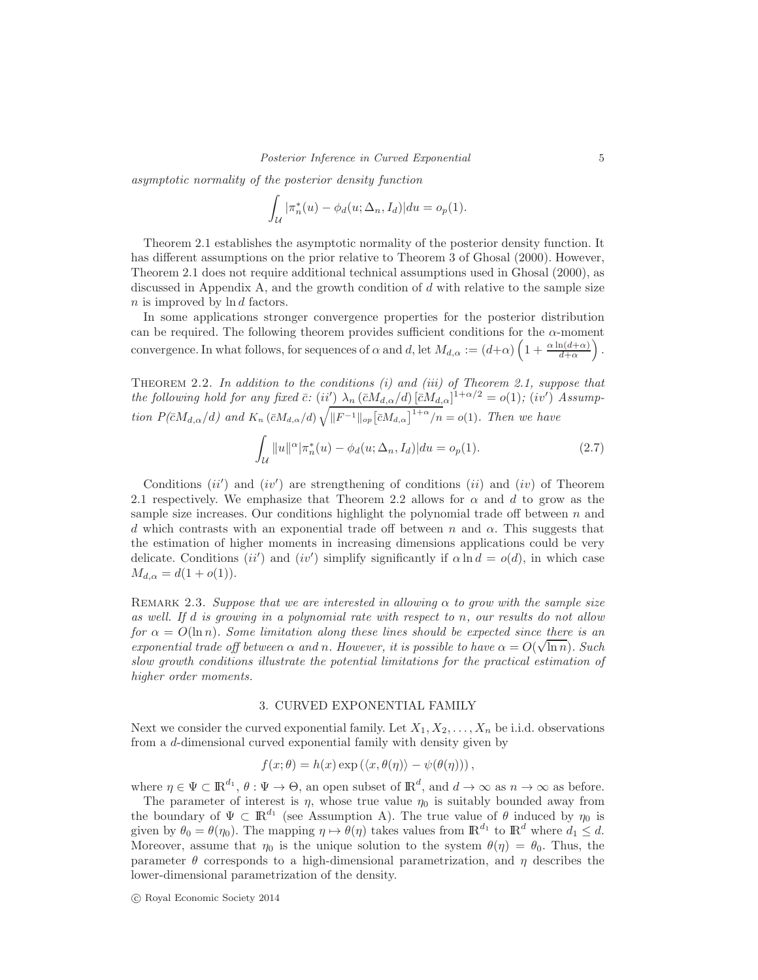asymptotic normality of the posterior density function

$$
\int_{\mathcal{U}} |\pi_n^*(u) - \phi_d(u; \Delta_n, I_d)| du = o_p(1).
$$

Theorem 2.1 establishes the asymptotic normality of the posterior density function. It has different assumptions on the prior relative to Theorem 3 of Ghosal (2000). However, Theorem 2.1 does not require additional technical assumptions used in Ghosal (2000), as discussed in Appendix A, and the growth condition of  $d$  with relative to the sample size n is improved by ln d factors.

In some applications stronger convergence properties for the posterior distribution can be required. The following theorem provides sufficient conditions for the  $\alpha$ -moment convergence. In what follows, for sequences of  $\alpha$  and  $d$ , let  $M_{d,\alpha} := (d+\alpha) \left(1 + \frac{\alpha \ln(d+\alpha)}{d+\alpha}\right)$  $\big).$ 

THEOREM 2.2. In addition to the conditions  $(i)$  and  $(iii)$  of Theorem 2.1, suppose that the following hold for any fixed  $\bar{c}$ : (ii')  $\lambda_n (\bar{c}M_{d,\alpha}/d) [\bar{c}M_{d,\alpha}]^{1+\alpha/2} = o(1)$ ; (iv') Assumption  $P(\bar{c}M_{d,\alpha}/d)$  and  $K_n(\bar{c}M_{d,\alpha}/d)\sqrt{\|F^{-1}\|_{op}[\bar{c}M_{d,\alpha}]}^{1+\alpha}/n} = o(1)$ . Then we have

$$
\int_{\mathcal{U}} \|u\|^{\alpha} |\pi_n^*(u) - \phi_d(u; \Delta_n, I_d)| du = o_p(1).
$$
 (2.7)

Conditions  $(ii')$  and  $(iv')$  are strengthening of conditions  $(ii)$  and  $(iv)$  of Theorem 2.1 respectively. We emphasize that Theorem 2.2 allows for  $\alpha$  and d to grow as the sample size increases. Our conditions highlight the polynomial trade off between  $n$  and d which contrasts with an exponential trade off between n and  $\alpha$ . This suggests that the estimation of higher moments in increasing dimensions applications could be very delicate. Conditions  $(ii')$  and  $(iv')$  simplify significantly if  $\alpha \ln d = o(d)$ , in which case  $M_{d,\alpha} = d(1 + o(1)).$ 

REMARK 2.3. Suppose that we are interested in allowing  $\alpha$  to grow with the sample size as well. If d is growing in a polynomial rate with respect to n, our results do not allow for  $\alpha = O(\ln n)$ . Some limitation along these lines should be expected since there is an exponential trade off between  $\alpha$  and n. However, it is possible to have  $\alpha = O(\sqrt{\ln n})$ . Such slow growth conditions illustrate the potential limitations for the practical estimation of higher order moments.

#### 3. CURVED EXPONENTIAL FAMILY

Next we consider the curved exponential family. Let  $X_1, X_2, \ldots, X_n$  be i.i.d. observations from a d-dimensional curved exponential family with density given by

$$
f(x; \theta) = h(x) \exp \left( \langle x, \theta(\eta) \rangle - \psi(\theta(\eta)) \right),
$$

where  $\eta \in \Psi \subset \mathbb{R}^{d_1}$ ,  $\theta : \Psi \to \Theta$ , an open subset of  $\mathbb{R}^d$ , and  $d \to \infty$  as  $n \to \infty$  as before.

The parameter of interest is  $\eta$ , whose true value  $\eta_0$  is suitably bounded away from the boundary of  $\Psi \subset \mathbb{R}^{d_1}$  (see Assumption A). The true value of  $\theta$  induced by  $\eta_0$  is given by  $\theta_0 = \theta(\eta_0)$ . The mapping  $\eta \mapsto \theta(\eta)$  takes values from  $\mathbb{R}^{d_1}$  to  $\mathbb{R}^d$  where  $d_1 \leq d$ . Moreover, assume that  $\eta_0$  is the unique solution to the system  $\theta(\eta) = \theta_0$ . Thus, the parameter  $\theta$  corresponds to a high-dimensional parametrization, and  $\eta$  describes the lower-dimensional parametrization of the density.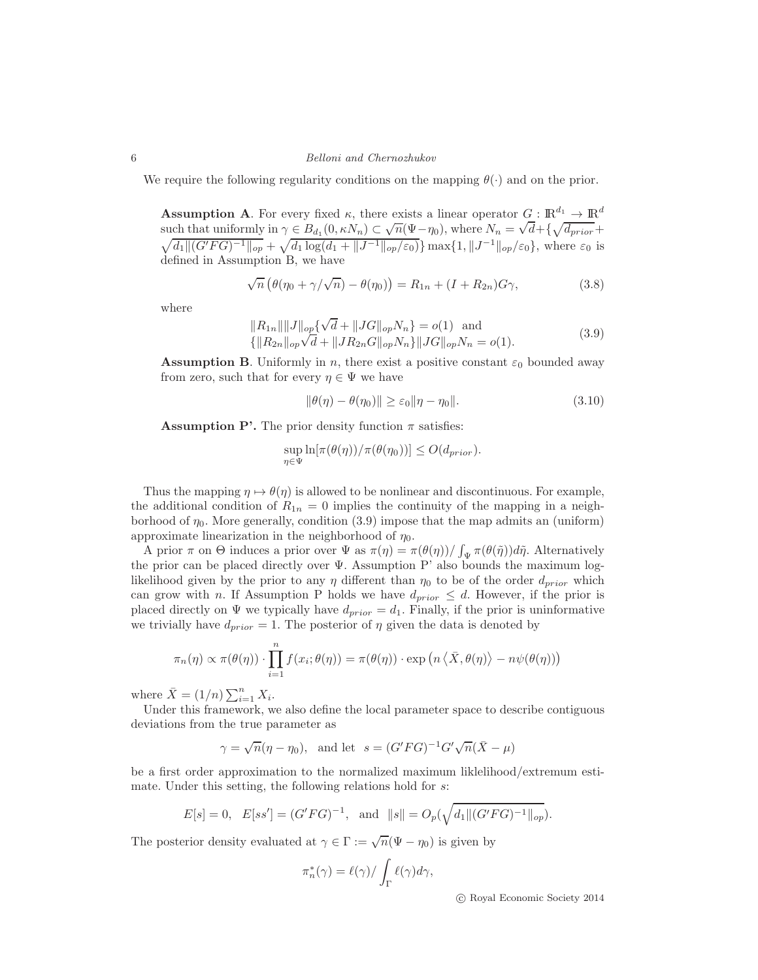We require the following regularity conditions on the mapping  $\theta(\cdot)$  and on the prior.

**Assumption A.** For every fixed  $\kappa$ , there exists a linear operator  $G : \mathbb{R}^{d_1} \to \mathbb{R}^{d}$ such that uniformly in  $\gamma \in B_{d_1}(0, \kappa N_n) \subset \sqrt{n}(\Psi - \eta_0)$ , where  $N_n = \sqrt{d} + {\sqrt{d_{prior}}} + {\sqrt{d}}$  $\sqrt{d_1 ||(G'FG)^{-1}||_{op}} + \sqrt{d_1 \log(d_1 + ||J^{-1}||_{op}/\varepsilon_0)} \max\{1, ||J^{-1}||_{op}/\varepsilon_0\},\$  where  $\varepsilon_0$  is defined in Assumption B, we have

$$
\sqrt{n} \left( \theta(\eta_0 + \gamma/\sqrt{n}) - \theta(\eta_0) \right) = R_{1n} + (I + R_{2n})G\gamma,
$$
\n(3.8)

where

$$
||R_{1n}|| ||J||_{op} \{\sqrt{d} + ||JG||_{op} N_n\} = o(1) \text{ and}
$$
  

$$
\{||R_{2n}||_{op}\sqrt{d} + ||JR_{2n}G||_{op} N_n\} ||JG||_{op} N_n = o(1).
$$
 (3.9)

**Assumption B.** Uniformly in n, there exist a positive constant  $\varepsilon_0$  bounded away from zero, such that for every  $\eta \in \Psi$  we have

$$
\|\theta(\eta) - \theta(\eta_0)\| \ge \varepsilon_0 \|\eta - \eta_0\|.\tag{3.10}
$$

**Assumption P'.** The prior density function  $\pi$  satisfies:

$$
\sup_{\eta \in \Psi} \ln[\pi(\theta(\eta))/\pi(\theta(\eta_0))] \le O(d_{prior}).
$$

Thus the mapping  $\eta \mapsto \theta(\eta)$  is allowed to be nonlinear and discontinuous. For example, the additional condition of  $R_{1n} = 0$  implies the continuity of the mapping in a neighborhood of  $\eta_0$ . More generally, condition (3.9) impose that the map admits an (uniform) approximate linearization in the neighborhood of  $\eta_0$ .

A prior  $\pi$  on  $\Theta$  induces a prior over  $\Psi$  as  $\pi(\eta) = \pi(\theta(\eta))/\int_{\Psi} \pi(\theta(\tilde{\eta}))d\tilde{\eta}$ . Alternatively the prior can be placed directly over  $\Psi$ . Assumption P' also bounds the maximum loglikelihood given by the prior to any  $\eta$  different than  $\eta_0$  to be of the order  $d_{prior}$  which can grow with n. If Assumption P holds we have  $d_{prior} \leq d$ . However, if the prior is placed directly on  $\Psi$  we typically have  $d_{prior} = d_1$ . Finally, if the prior is uninformative we trivially have  $d_{prior} = 1$ . The posterior of  $\eta$  given the data is denoted by

$$
\pi_n(\eta) \propto \pi(\theta(\eta)) \cdot \prod_{i=1}^n f(x_i; \theta(\eta)) = \pi(\theta(\eta)) \cdot \exp\left(n \left\langle \overline{X}, \theta(\eta) \right\rangle - n\psi(\theta(\eta))\right)
$$

where  $\bar{X} = (1/n) \sum_{i=1}^{n} X_i$ .

Under this framework, we also define the local parameter space to describe contiguous deviations from the true parameter as

$$
\gamma = \sqrt{n}(\eta - \eta_0)
$$
, and let  $s = (G'FG)^{-1}G'\sqrt{n}(\bar{X} - \mu)$ 

be a first order approximation to the normalized maximum liklelihood/extremum estimate. Under this setting, the following relations hold for s:

$$
E[s] = 0
$$
,  $E[ss'] = (G'FG)^{-1}$ , and  $||s|| = O_p(\sqrt{d_1||(G'FG)^{-1}||_{op}})$ .

The posterior density evaluated at  $\gamma \in \Gamma := \sqrt{n}(\Psi - \eta_0)$  is given by

$$
\pi_n^*(\gamma) = \ell(\gamma) / \int_{\Gamma} \ell(\gamma) d\gamma,
$$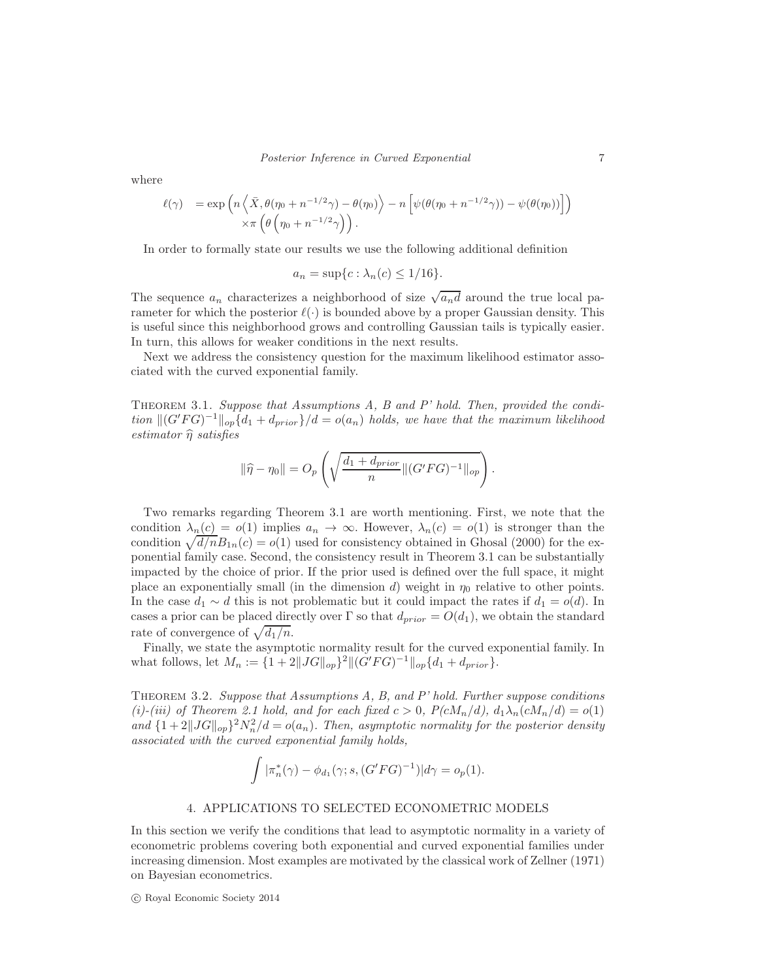where

$$
\ell(\gamma) = \exp\left(n\left\langle \bar{X}, \theta(\eta_0 + n^{-1/2}\gamma) - \theta(\eta_0) \right\rangle - n\left[ \psi(\theta(\eta_0 + n^{-1/2}\gamma)) - \psi(\theta(\eta_0)) \right] \right) \times \pi\left(\theta\left(\eta_0 + n^{-1/2}\gamma\right)\right).
$$

In order to formally state our results we use the following additional definition

$$
a_n = \sup\{c : \lambda_n(c) \le 1/16\}.
$$

The sequence  $a_n$  characterizes a neighborhood of size  $\sqrt{a_n d}$  around the true local parameter for which the posterior  $\ell(\cdot)$  is bounded above by a proper Gaussian density. This is useful since this neighborhood grows and controlling Gaussian tails is typically easier. In turn, this allows for weaker conditions in the next results.

Next we address the consistency question for the maximum likelihood estimator associated with the curved exponential family.

THEOREM 3.1. Suppose that Assumptions A, B and P' hold. Then, provided the condition  $\|(G'FG)^{-1}\|_{op}\{d_1 + d_{prior}\}/d = o(a_n)$  holds, we have that the maximum likelihood estimator  $\hat{\eta}$  satisfies

$$
\|\hat{\eta} - \eta_0\| = O_p\left(\sqrt{\frac{d_1 + d_{prior}}{n} \| (G'FG)^{-1} \|_{op}}\right).
$$

Two remarks regarding Theorem 3.1 are worth mentioning. First, we note that the condition  $\lambda_n(c) = o(1)$  implies  $a_n \to \infty$ . However,  $\lambda_n(c) = o(1)$  is stronger than the condition  $\sqrt{d/n}B_{1n}(c) = o(1)$  used for consistency obtained in Ghosal (2000) for the exponential family case. Second, the consistency result in Theorem 3.1 can be substantially impacted by the choice of prior. If the prior used is defined over the full space, it might place an exponentially small (in the dimension d) weight in  $\eta_0$  relative to other points. In the case  $d_1 \sim d$  this is not problematic but it could impact the rates if  $d_1 = o(d)$ . In cases a prior can be placed directly over  $\Gamma$  so that  $d_{prior} = O(d_1)$ , we obtain the standard rate of convergence of  $\sqrt{d_1/n}$ .

Finally, we state the asymptotic normality result for the curved exponential family. In what follows, let  $M_n := \{1 + 2||JG||_{op}\}^2 ||(G'FG)^{-1}||_{op}\{d_1 + d_{prior}\}.$ 

THEOREM 3.2. Suppose that Assumptions  $A$ ,  $B$ , and  $P'$  hold. Further suppose conditions (i)-(iii) of Theorem 2.1 hold, and for each fixed  $c > 0$ ,  $P(cM_n/d)$ ,  $d_1\lambda_n(cM_n/d) = o(1)$ and  $\{1+2||JG||_{op}\}^2N_n^2/d = o(a_n)$ . Then, asymptotic normality for the posterior density associated with the curved exponential family holds,

$$
\int |\pi_n^*(\gamma) - \phi_{d_1}(\gamma; s, (G'FG)^{-1})| d\gamma = o_p(1).
$$

## 4. APPLICATIONS TO SELECTED ECONOMETRIC MODELS

In this section we verify the conditions that lead to asymptotic normality in a variety of econometric problems covering both exponential and curved exponential families under increasing dimension. Most examples are motivated by the classical work of Zellner (1971) on Bayesian econometrics.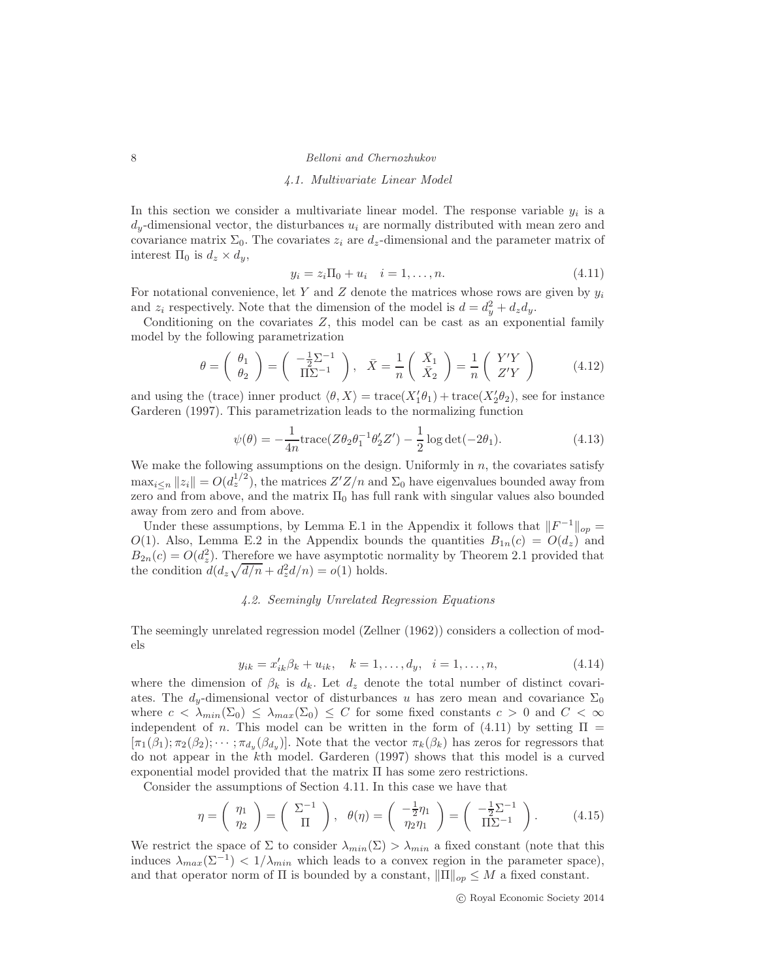#### 4.1. Multivariate Linear Model

In this section we consider a multivariate linear model. The response variable  $y_i$  is a  $d_y$ -dimensional vector, the disturbances  $u_i$  are normally distributed with mean zero and covariance matrix  $\Sigma_0$ . The covariates  $z_i$  are  $d_z$ -dimensional and the parameter matrix of interest  $\Pi_0$  is  $d_z \times d_y$ ,

$$
y_i = z_i \Pi_0 + u_i \quad i = 1, \dots, n. \tag{4.11}
$$

For notational convenience, let Y and Z denote the matrices whose rows are given by  $y_i$ and  $z_i$  respectively. Note that the dimension of the model is  $d = d_y^2 + d_z d_y$ .

Conditioning on the covariates  $Z$ , this model can be cast as an exponential family model by the following parametrization

$$
\theta = \begin{pmatrix} \theta_1 \\ \theta_2 \end{pmatrix} = \begin{pmatrix} -\frac{1}{2}\Sigma^{-1} \\ \Pi\Sigma^{-1} \end{pmatrix}, \quad \bar{X} = \frac{1}{n} \begin{pmatrix} \bar{X}_1 \\ \bar{X}_2 \end{pmatrix} = \frac{1}{n} \begin{pmatrix} Y'Y \\ Z'Y \end{pmatrix}
$$
(4.12)

and using the (trace) inner product  $\langle \theta, X \rangle = \text{trace}(X'_1 \theta_1) + \text{trace}(X'_2 \theta_2)$ , see for instance Garderen (1997). This parametrization leads to the normalizing function

$$
\psi(\theta) = -\frac{1}{4n} \text{trace}(Z\theta_2\theta_1^{-1}\theta_2'Z') - \frac{1}{2}\log \det(-2\theta_1). \tag{4.13}
$$

We make the following assumptions on the design. Uniformly in  $n$ , the covariates satisfy  $\max_{i\leq n} ||z_i|| = O(d_z^{1/2})$ , the matrices  $Z'Z/n$  and  $\Sigma_0$  have eigenvalues bounded away from zero and from above, and the matrix  $\Pi_0$  has full rank with singular values also bounded away from zero and from above.

Under these assumptions, by Lemma E.1 in the Appendix it follows that  $||F^{-1}||_{op} =$ O(1). Also, Lemma E.2 in the Appendix bounds the quantities  $B_{1n}(c) = O(d_z)$  and  $B_{2n}(c) = O(d_z^2)$ . Therefore we have asymptotic normality by Theorem 2.1 provided that the condition  $d(d_z\sqrt{d/n} + d_z^2d/n) = o(1)$  holds.

## 4.2. Seemingly Unrelated Regression Equations

The seemingly unrelated regression model (Zellner (1962)) considers a collection of models

$$
y_{ik} = x'_{ik}\beta_k + u_{ik}, \quad k = 1, \dots, d_y, \quad i = 1, \dots, n,
$$
\n(4.14)

where the dimension of  $\beta_k$  is  $d_k$ . Let  $d_z$  denote the total number of distinct covariates. The  $d_y$ -dimensional vector of disturbances u has zero mean and covariance  $\Sigma_0$ where  $c < \lambda_{min}(\Sigma_0) \leq \lambda_{max}(\Sigma_0) \leq C$  for some fixed constants  $c > 0$  and  $C < \infty$ independent of n. This model can be written in the form of (4.11) by setting  $\Pi$  $[\pi_1(\beta_1); \pi_2(\beta_2); \cdots; \pi_{d_y}(\beta_{d_y})]$ . Note that the vector  $\pi_k(\beta_k)$  has zeros for regressors that do not appear in the kth model. Garderen (1997) shows that this model is a curved exponential model provided that the matrix Π has some zero restrictions.

Consider the assumptions of Section 4.11. In this case we have that

$$
\eta = \left(\begin{array}{c} \eta_1 \\ \eta_2 \end{array}\right) = \left(\begin{array}{c} \Sigma^{-1} \\ \Pi \end{array}\right), \ \ \theta(\eta) = \left(\begin{array}{c} -\frac{1}{2}\eta_1 \\ \eta_2\eta_1 \end{array}\right) = \left(\begin{array}{c} -\frac{1}{2}\Sigma^{-1} \\ \Pi\Sigma^{-1} \end{array}\right). \tag{4.15}
$$

We restrict the space of  $\Sigma$  to consider  $\lambda_{min}(\Sigma) > \lambda_{min}$  a fixed constant (note that this induces  $\lambda_{max}(\Sigma^{-1}) < 1/\lambda_{min}$  which leads to a convex region in the parameter space), and that operator norm of  $\Pi$  is bounded by a constant,  $\|\Pi\|_{op} \leq M$  a fixed constant.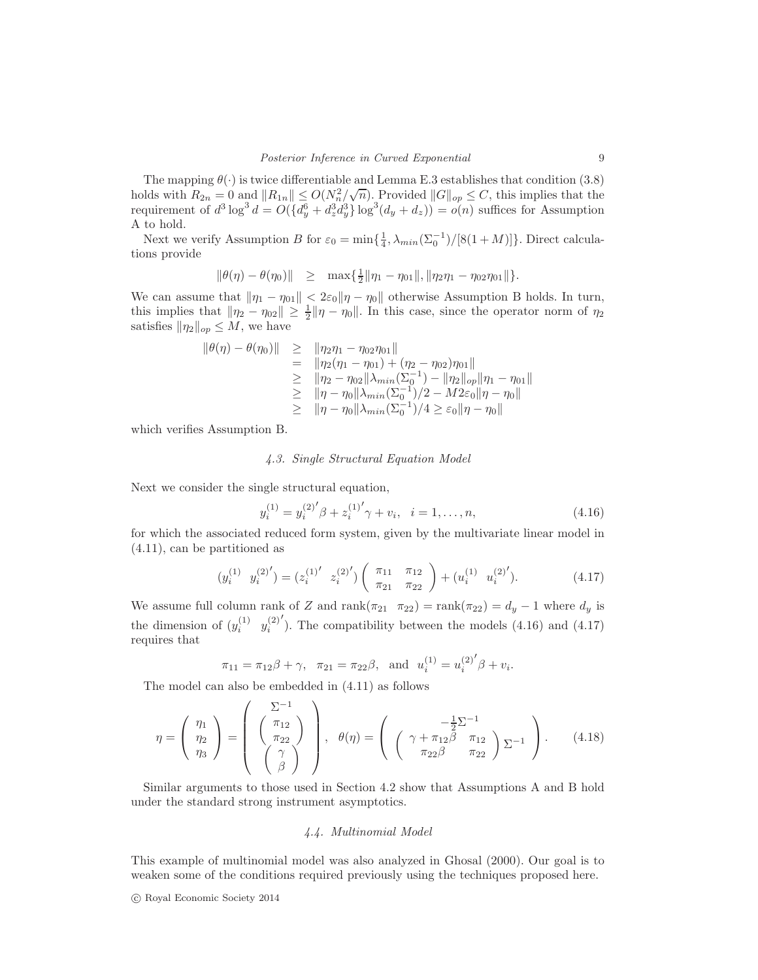The mapping  $\theta(\cdot)$  is twice differentiable and Lemma E.3 establishes that condition (3.8) holds with  $R_{2n} = 0$  and  $||R_{1n}|| \leq O(N_n^2/\sqrt{n})$ . Provided  $||G||_{op} \leq C$ , this implies that the requirement of  $d^3 \log^3 d = O(\{d_y^6 + d_z^3 d_y^3\} \log^3(d_y + d_z)) = o(n)$  suffices for Assumption A to hold.

Next we verify Assumption B for  $\varepsilon_0 = \min\{\frac{1}{4}, \lambda_{min}(\Sigma_0^{-1})/[8(1+M)]\}$ . Direct calculations provide

$$
\|\theta(\eta)-\theta(\eta_0)\| \geq \max{\frac{1}{2}\|\eta_1-\eta_{01}\|,\|\eta_2\eta_1-\eta_{02}\eta_{01}\|}.
$$

We can assume that  $\|\eta_1 - \eta_{01}\| < 2\varepsilon_0\|\eta - \eta_0\|$  otherwise Assumption B holds. In turn, this implies that  $\|\eta_2 - \eta_{02}\| \ge \frac{1}{2} \|\eta - \eta_0\|$ . In this case, since the operator norm of  $\eta_2$ satisfies  $\|\eta_2\|_{op} \leq M$ , we have

$$
\|\theta(\eta) - \theta(\eta_0)\| \geq \|\eta_2 \eta_1 - \eta_0 \eta_0\|
$$
  
\n
$$
= \|\eta_2 (\eta_1 - \eta_0_1) + (\eta_2 - \eta_0 \eta_0)\|
$$
  
\n
$$
\geq \|\eta_2 - \eta_0 2\| \lambda_{min} (\Sigma_0^{-1}) - \|\eta_2\|_{op} \|\eta_1 - \eta_0\|
$$
  
\n
$$
\geq \|\eta - \eta_0\| \lambda_{min} (\Sigma_0^{-1})/2 - M2\varepsilon_0 \|\eta - \eta_0\|
$$
  
\n
$$
\geq \|\eta - \eta_0\| \lambda_{min} (\Sigma_0^{-1})/4 \geq \varepsilon_0 \|\eta - \eta_0\|
$$

which verifies Assumption B.

# 4.3. Single Structural Equation Model

Next we consider the single structural equation,

$$
y_i^{(1)} = y_i^{(2)'} \beta + z_i^{(1)'} \gamma + v_i, \quad i = 1, \dots, n,
$$
\n(4.16)

for which the associated reduced form system, given by the multivariate linear model in (4.11), can be partitioned as

$$
(y_i^{(1)} \ y_i^{(2)'}) = (z_i^{(1)'} \ z_i^{(2)'}) \left( \begin{array}{cc} \pi_{11} & \pi_{12} \\ \pi_{21} & \pi_{22} \end{array} \right) + (u_i^{(1)} \ u_i^{(2)'}). \tag{4.17}
$$

We assume full column rank of Z and rank $(\pi_{21} \quad \pi_{22})$  = rank $(\pi_{22}) = d_y - 1$  where  $d_y$  is the dimension of  $(y_i^{(1)} \ y_i^{(2)}$ ′ ). The compatibility between the models (4.16) and (4.17) requires that

$$
\pi_{11} = \pi_{12}\beta + \gamma
$$
,  $\pi_{21} = \pi_{22}\beta$ , and  $u_i^{(1)} = u_i^{(2)'}\beta + v_i$ .

The model can also be embedded in (4.11) as follows

$$
\eta = \begin{pmatrix} \eta_1 \\ \eta_2 \\ \eta_3 \end{pmatrix} = \begin{pmatrix} \Sigma^{-1} \\ \begin{pmatrix} \pi_{12} \\ \pi_{22} \end{pmatrix} \\ \begin{pmatrix} \gamma \\ \beta \end{pmatrix} \end{pmatrix}, \quad \theta(\eta) = \begin{pmatrix} -\frac{1}{2}\Sigma^{-1} \\ \begin{pmatrix} \gamma + \pi_{12}\beta & \pi_{12} \\ \pi_{22}\beta & \pi_{22} \end{pmatrix} \Sigma^{-1} \end{pmatrix}.
$$
 (4.18)

Similar arguments to those used in Section 4.2 show that Assumptions A and B hold under the standard strong instrument asymptotics.

### 4.4. Multinomial Model

This example of multinomial model was also analyzed in Ghosal (2000). Our goal is to weaken some of the conditions required previously using the techniques proposed here.

c Royal Economic Society 2014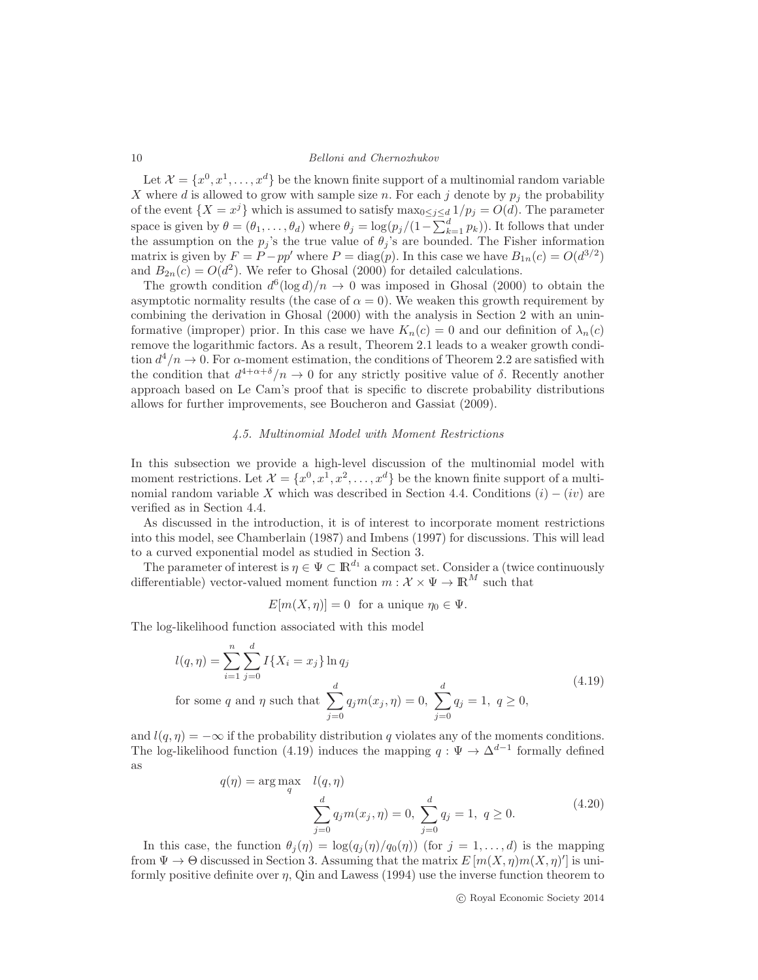Let  $\mathcal{X} = \{x^0, x^1, \dots, x^d\}$  be the known finite support of a multinomial random variable X where d is allowed to grow with sample size n. For each j denote by  $p_i$  the probability of the event  $\{X = x^j\}$  which is assumed to satisfy  $\max_{0 \le j \le d} 1/p_j = O(d)$ . The parameter space is given by  $\theta = (\theta_1, \dots, \theta_d)$  where  $\theta_j = \log(p_j/(1 - \sum_{k=1}^d p_k))$ . It follows that under the assumption on the  $p_j$ 's the true value of  $\theta_j$ 's are bounded. The Fisher information matrix is given by  $F = P - pp'$  where  $P = \text{diag}(p)$ . In this case we have  $B_{1n}(c) = O(d^{3/2})$ and  $B_{2n}(c) = O(d^2)$ . We refer to Ghosal (2000) for detailed calculations.

The growth condition  $d^6(\log d)/n \to 0$  was imposed in Ghosal (2000) to obtain the asymptotic normality results (the case of  $\alpha = 0$ ). We weaken this growth requirement by combining the derivation in Ghosal (2000) with the analysis in Section 2 with an uninformative (improper) prior. In this case we have  $K_n(c) = 0$  and our definition of  $\lambda_n(c)$ remove the logarithmic factors. As a result, Theorem 2.1 leads to a weaker growth condition  $d^4/n \to 0$ . For  $\alpha$ -moment estimation, the conditions of Theorem 2.2 are satisfied with the condition that  $d^{4+\alpha+\delta}/n \to 0$  for any strictly positive value of  $\delta$ . Recently another approach based on Le Cam's proof that is specific to discrete probability distributions allows for further improvements, see Boucheron and Gassiat (2009).

## 4.5. Multinomial Model with Moment Restrictions

In this subsection we provide a high-level discussion of the multinomial model with moment restrictions. Let  $\mathcal{X} = \{x^0, x^1, x^2, \dots, x^d\}$  be the known finite support of a multinomial random variable X which was described in Section 4.4. Conditions  $(i) - (iv)$  are verified as in Section 4.4.

As discussed in the introduction, it is of interest to incorporate moment restrictions into this model, see Chamberlain (1987) and Imbens (1997) for discussions. This will lead to a curved exponential model as studied in Section 3.

The parameter of interest is  $\eta \in \Psi \subset \mathbb{R}^{d_1}$  a compact set. Consider a (twice continuously differentiable) vector-valued moment function  $m: \mathcal{X} \times \Psi \to \mathbb{R}^M$  such that

$$
E[m(X, \eta)] = 0 \text{ for a unique } \eta_0 \in \Psi.
$$

The log-likelihood function associated with this model

$$
l(q, \eta) = \sum_{i=1}^{n} \sum_{j=0}^{d} I\{X_i = x_j\} \ln q_j
$$
  
for some  $q$  and  $\eta$  such that 
$$
\sum_{j=0}^{d} q_j m(x_j, \eta) = 0, \sum_{j=0}^{d} q_j = 1, q \ge 0,
$$
 (4.19)

and  $l(q, \eta) = -\infty$  if the probability distribution q violates any of the moments conditions. The log-likelihood function (4.19) induces the mapping  $q: \Psi \to \Delta^{d-1}$  formally defined as

$$
q(\eta) = \arg \max_{q} \quad l(q, \eta)
$$
  

$$
\sum_{j=0}^{d} q_j m(x_j, \eta) = 0, \sum_{j=0}^{d} q_j = 1, \ q \ge 0.
$$
 (4.20)

In this case, the function  $\theta_j(\eta) = \log(q_j(\eta)/q_0(\eta))$  (for  $j = 1, \ldots, d$ ) is the mapping from  $\Psi \to \Theta$  discussed in Section 3. Assuming that the matrix  $E[m(X, \eta)m(X, \eta)']$  is uniformly positive definite over  $\eta$ , Qin and Lawess (1994) use the inverse function theorem to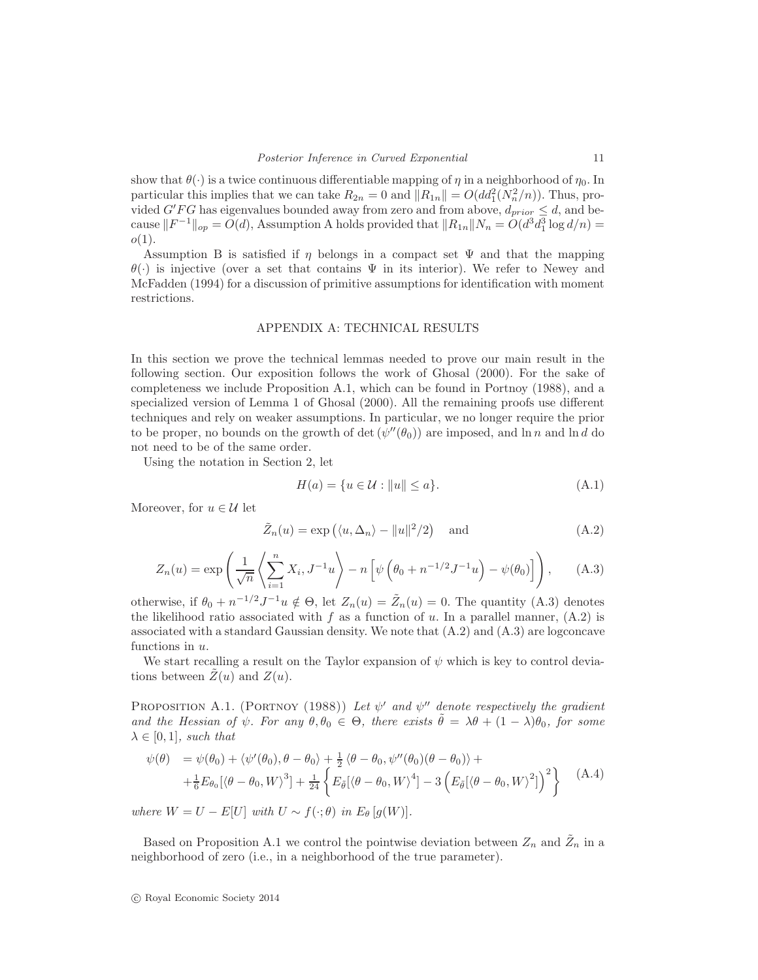show that  $\theta(\cdot)$  is a twice continuous differentiable mapping of  $\eta$  in a neighborhood of  $\eta_0$ . In particular this implies that we can take  $R_{2n} = 0$  and  $||R_{1n}|| = O(dd_1^2(N_n^2/n))$ . Thus, provided  $G'FG$  has eigenvalues bounded away from zero and from above,  $d_{prior} \leq d$ , and because  $||F^{-1}||_{op} = O(d)$ , Assumption A holds provided that  $||R_{1n}||N_n = O(d^3 d_1^3 \log d/n) =$  $o(1)$ .

Assumption B is satisfied if  $\eta$  belongs in a compact set  $\Psi$  and that the mapping  $\theta(\cdot)$  is injective (over a set that contains  $\Psi$  in its interior). We refer to Newey and McFadden (1994) for a discussion of primitive assumptions for identification with moment restrictions.

#### APPENDIX A: TECHNICAL RESULTS

In this section we prove the technical lemmas needed to prove our main result in the following section. Our exposition follows the work of Ghosal (2000). For the sake of completeness we include Proposition A.1, which can be found in Portnoy (1988), and a specialized version of Lemma 1 of Ghosal (2000). All the remaining proofs use different techniques and rely on weaker assumptions. In particular, we no longer require the prior to be proper, no bounds on the growth of  $\det (\psi''(\theta_0))$  are imposed, and  $\ln n$  and  $\ln d$  do not need to be of the same order.

Using the notation in Section 2, let

$$
H(a) = \{u \in \mathcal{U} : ||u|| \le a\}.
$$
\n(A.1)

Moreover, for  $u \in \mathcal{U}$  let

$$
\tilde{Z}_n(u) = \exp\left(\langle u, \Delta_n \rangle - ||u||^2/2\right) \quad \text{and} \tag{A.2}
$$

$$
Z_n(u) = \exp\left(\frac{1}{\sqrt{n}}\left\langle \sum_{i=1}^n X_i, J^{-1}u \right\rangle - n\left[\psi\left(\theta_0 + n^{-1/2}J^{-1}u\right) - \psi(\theta_0)\right]\right), \quad (A.3)
$$

otherwise, if  $\theta_0 + n^{-1/2} J^{-1} u \notin \Theta$ , let  $Z_n(u) = \tilde{Z}_n(u) = 0$ . The quantity (A.3) denotes the likelihood ratio associated with f as a function of u. In a parallel manner,  $(A.2)$  is associated with a standard Gaussian density. We note that  $(A.2)$  and  $(A.3)$  are logconcave functions in  $u$ .

We start recalling a result on the Taylor expansion of  $\psi$  which is key to control deviations between  $Z(u)$  and  $Z(u)$ .

PROPOSITION A.1. (PORTNOY (1988)) Let  $\psi'$  and  $\psi''$  denote respectively the gradient and the Hessian of  $\psi$ . For any  $\theta, \theta_0 \in \Theta$ , there exists  $\tilde{\theta} = \lambda \theta + (1 - \lambda)\theta_0$ , for some  $\lambda \in [0, 1]$ , such that

$$
\psi(\theta) = \psi(\theta_0) + \langle \psi'(\theta_0), \theta - \theta_0 \rangle + \frac{1}{2} \langle \theta - \theta_0, \psi''(\theta_0)(\theta - \theta_0) \rangle +
$$
  
+ 
$$
\frac{1}{6} E_{\theta_0} [\langle \theta - \theta_0, W \rangle^3] + \frac{1}{24} \left\{ E_{\tilde{\theta}} [\langle \theta - \theta_0, W \rangle^4] - 3 \left( E_{\tilde{\theta}} [\langle \theta - \theta_0, W \rangle^2] \right)^2 \right\} \tag{A.4}
$$

where  $W = U - E[U]$  with  $U \sim f(\cdot; \theta)$  in  $E_{\theta} [g(W)]$ .

Based on Proposition A.1 we control the pointwise deviation between  $Z_n$  and  $\tilde{Z}_n$  in a neighborhood of zero (i.e., in a neighborhood of the true parameter).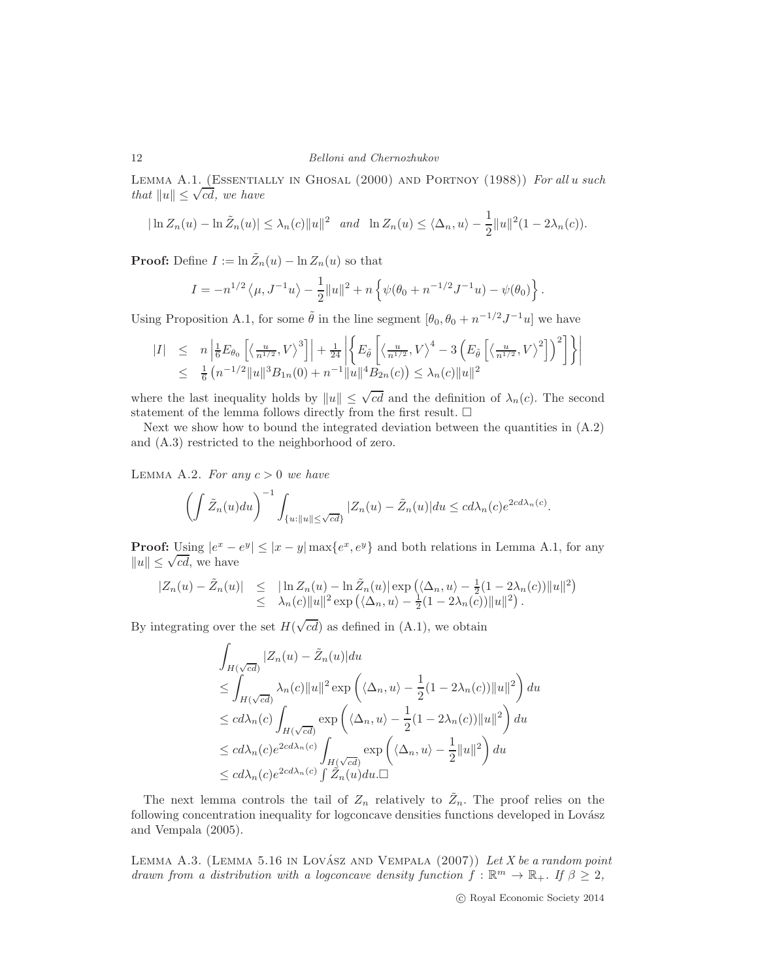LEMMA A.1. (ESSENTIALLY IN GHOSAL (2000) AND PORTNOY (1988)) For all u such that  $||u|| \leq \sqrt{cd}$ , we have

$$
|\ln Z_n(u) - \ln \tilde{Z}_n(u)| \leq \lambda_n(c) \|u\|^2 \quad \text{and} \quad \ln Z_n(u) \leq \langle \Delta_n, u \rangle - \frac{1}{2} \|u\|^2 (1 - 2\lambda_n(c)).
$$

**Proof:** Define  $I := \ln \tilde{Z}_n(u) - \ln Z_n(u)$  so that

$$
I = -n^{1/2} \langle \mu, J^{-1} u \rangle - \frac{1}{2} ||u||^2 + n \left\{ \psi(\theta_0 + n^{-1/2} J^{-1} u) - \psi(\theta_0) \right\}.
$$

Using Proposition A.1, for some  $\tilde{\theta}$  in the line segment  $[\theta_0, \theta_0 + n^{-1/2}J^{-1}u]$  we have

$$
|I| \leq n \left| \frac{1}{6} E_{\theta_0} \left[ \left\langle \frac{u}{n^{1/2}}, V \right\rangle^3 \right] \right| + \frac{1}{24} \left| \left\{ E_{\tilde{\theta}} \left[ \left\langle \frac{u}{n^{1/2}}, V \right\rangle^4 - 3 \left( E_{\tilde{\theta}} \left[ \left\langle \frac{u}{n^{1/2}}, V \right\rangle^2 \right] \right)^2 \right] \right\} \right|
$$
  

$$
\leq \frac{1}{6} \left( n^{-1/2} ||u||^3 B_{1n}(0) + n^{-1} ||u||^4 B_{2n}(c) \right) \leq \lambda_n(c) ||u||^2
$$

where the last inequality holds by  $||u|| \leq \sqrt{cd}$  and the definition of  $\lambda_n(c)$ . The second statement of the lemma follows directly from the first result.  $\Box$ 

Next we show how to bound the integrated deviation between the quantities in  $(A.2)$ and (A.3) restricted to the neighborhood of zero.

LEMMA A.2. For any  $c > 0$  we have

$$
\left(\int \tilde{Z}_n(u) du\right)^{-1} \int_{\{u: \|u\| \le \sqrt{cd}\}} |Z_n(u) - \tilde{Z}_n(u)| du \le cd\lambda_n(c)e^{2cd\lambda_n(c)}.
$$

**Proof:** Using  $|e^x - e^y| \le |x - y| \max\{e^x, e^y\}$  and both relations in Lemma A.1, for any  $||u|| \leq \sqrt{cd}$ , we have

$$
\begin{array}{rcl}\n|Z_n(u) - \tilde{Z}_n(u)| & \leq & \left| \ln Z_n(u) - \ln \tilde{Z}_n(u) \right| \exp \left( \langle \Delta_n, u \rangle - \frac{1}{2} (1 - 2\lambda_n(c)) \| u \|^2 \right) \\
& \leq & \lambda_n(c) \| u \|^2 \exp \left( \langle \Delta_n, u \rangle - \frac{1}{2} (1 - 2\lambda_n(c)) \| u \|^2 \right).\n\end{array}
$$

By integrating over the set  $H(\sqrt{cd})$  as defined in (A.1), we obtain

$$
\int_{H(\sqrt{cd})} |Z_n(u) - \tilde{Z}_n(u)| du
$$
\n
$$
\leq \int_{H(\sqrt{cd})} \lambda_n(c) ||u||^2 \exp\left( \langle \Delta_n, u \rangle - \frac{1}{2} (1 - 2\lambda_n(c)) ||u||^2 \right) du
$$
\n
$$
\leq c d\lambda_n(c) \int_{H(\sqrt{cd})} \exp\left( \langle \Delta_n, u \rangle - \frac{1}{2} (1 - 2\lambda_n(c)) ||u||^2 \right) du
$$
\n
$$
\leq c d\lambda_n(c) e^{2cd\lambda_n(c)} \int_{H(\sqrt{cd})} \exp\left( \langle \Delta_n, u \rangle - \frac{1}{2} ||u||^2 \right) du
$$
\n
$$
\leq c d\lambda_n(c) e^{2cd\lambda_n(c)} \int_{H(\sqrt{cd})} \tilde{Z}_n(u) du.
$$

The next lemma controls the tail of  $Z_n$  relatively to  $\tilde{Z}_n$ . The proof relies on the following concentration inequality for logconcave densities functions developed in Lovász and Vempala (2005).

LEMMA A.3. (LEMMA 5.16 IN LOVÁSZ AND VEMPALA  $(2007)$ ) Let X be a random point drawn from a distribution with a logconcave density function  $f : \mathbb{R}^m \to \mathbb{R}_+$ . If  $\beta \geq 2$ ,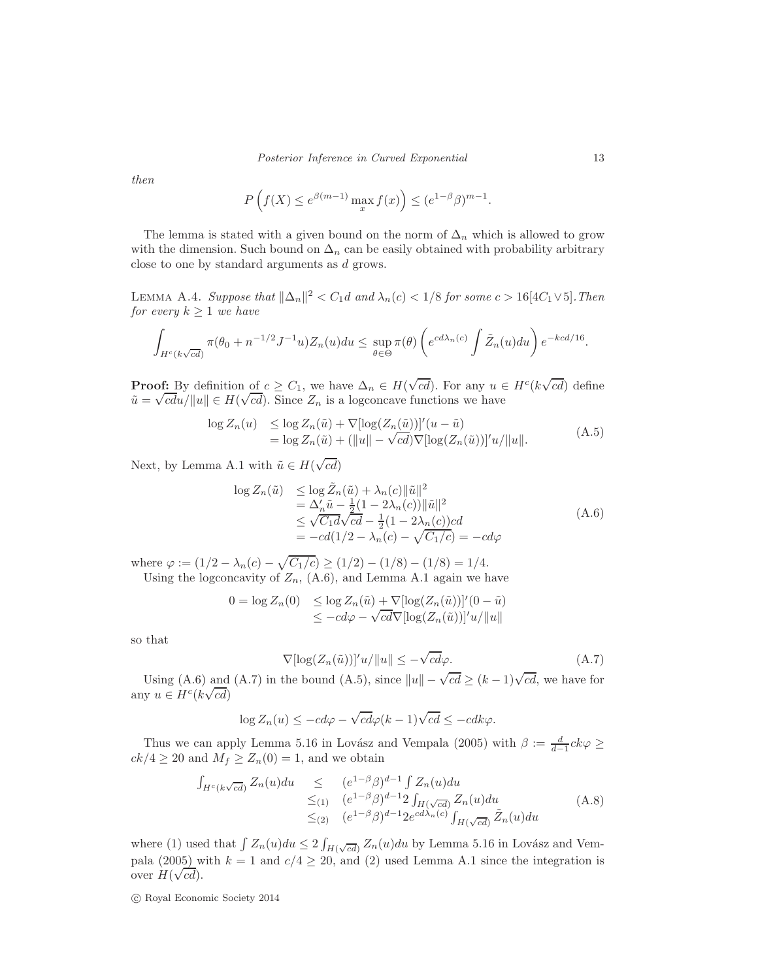then

$$
P\left(f(X) \le e^{\beta(m-1)} \max_{x} f(x)\right) \le (e^{1-\beta}\beta)^{m-1}.
$$

The lemma is stated with a given bound on the norm of  $\Delta_n$  which is allowed to grow with the dimension. Such bound on  $\Delta_n$  can be easily obtained with probability arbitrary close to one by standard arguments as d grows.

LEMMA A.4. Suppose that  $\|\Delta_n\|^2 < C_1 d$  and  $\lambda_n(c) < 1/8$  for some  $c > 16[4C_1 \vee 5]$ . Then for every  $k \geq 1$  we have

$$
\int_{H^c(k\sqrt{cd})} \pi(\theta_0 + n^{-1/2}J^{-1}u)Z_n(u)du \leq \sup_{\theta \in \Theta} \pi(\theta) \left(e^{cd\lambda_n(c)}\int \tilde{Z}_n(u)du\right)e^{-kcd/16}.
$$

**Proof:** By definition of  $c \geq C_1$ , we have  $\Delta_n \in H(\sqrt{cd})$ . For any  $u \in H^c(k\sqrt{cd})$  define  $\tilde{u} = \sqrt{c}du/||u|| \in H(\sqrt{cd})$ . Since  $Z_n$  is a logconcave functions we have

$$
\log Z_n(u) \leq \log Z_n(\tilde{u}) + \nabla[\log(Z_n(\tilde{u}))]'(u - \tilde{u})
$$
  
= 
$$
\log Z_n(\tilde{u}) + (\|u\| - \sqrt{cd})\nabla[\log(Z_n(\tilde{u}))]'u/\|u\|.
$$
 (A.5)

Next, by Lemma A.1 with  $\tilde{u} \in H(\sqrt{cd})$ 

$$
\log Z_n(\tilde{u}) \leq \log \tilde{Z}_n(\tilde{u}) + \lambda_n(c) \|\tilde{u}\|^2 \n= \Delta'_n \tilde{u} - \frac{1}{2} (1 - 2\lambda_n(c)) \|\tilde{u}\|^2 \n\leq \sqrt{C_1 d} \sqrt{c d} - \frac{1}{2} (1 - 2\lambda_n(c))cd \n= -c d(1/2 - \lambda_n(c) - \sqrt{C_1/c}) = -c d\varphi
$$
\n(A.6)

where  $\varphi := (1/2 - \lambda_n(c) - \sqrt{C_1/c}) \ge (1/2) - (1/8) - (1/8) = 1/4.$ Using the logconcavity of  $Z_n$ , (A.6), and Lemma A.1 again we have

$$
0 = \log Z_n(0) \leq \log Z_n(\tilde{u}) + \nabla [\log(Z_n(\tilde{u}))]'(0 - \tilde{u})
$$
  

$$
\leq -c d\varphi - \sqrt{c d} \nabla [\log(Z_n(\tilde{u}))]'u/||u||
$$

so that

$$
\nabla[\log(Z_n(\tilde{u}))]'u/\|u\| \le -\sqrt{cd}\varphi.
$$
\n(A.7)

Using (A.6) and (A.7) in the bound (A.5), since  $||u|| - \sqrt{cd} \ge (k-1)\sqrt{cd}$ , we have for any  $u \in H^c(k\sqrt{cd})$ 

$$
\log Z_n(u) \le -cd\varphi - \sqrt{cd}\varphi(k-1)\sqrt{cd} \le -cdk\varphi.
$$

Thus we can apply Lemma 5.16 in Lovász and Vempala (2005) with  $\beta := \frac{d}{d-1}ck\varphi \ge$  $ck/4 \geq 20$  and  $M_f \geq Z_n(0) = 1$ , and we obtain

$$
\int_{H^c(k\sqrt{cd})} Z_n(u) du \leq (e^{1-\beta}\beta)^{d-1} \int Z_n(u) du
$$
  
\n
$$
\leq_{(1)} (e^{1-\beta}\beta)^{d-1} 2 \int_{H(\sqrt{cd})} Z_n(u) du
$$
  
\n
$$
\leq_{(2)} (e^{1-\beta}\beta)^{d-1} 2e^{cd\lambda_n(c)} \int_{H(\sqrt{cd})} \tilde{Z}_n(u) du
$$
\n(A.8)

where (1) used that  $\int Z_n(u)du \leq 2 \int_{H(\sqrt{c}d)} Z_n(u)du$  by Lemma 5.16 in Lovász and Vempala (2005) with  $k = 1$  and  $c/4 \ge 20$ , and (2) used Lemma A.1 since the integration is over  $H(\sqrt{cd})$ .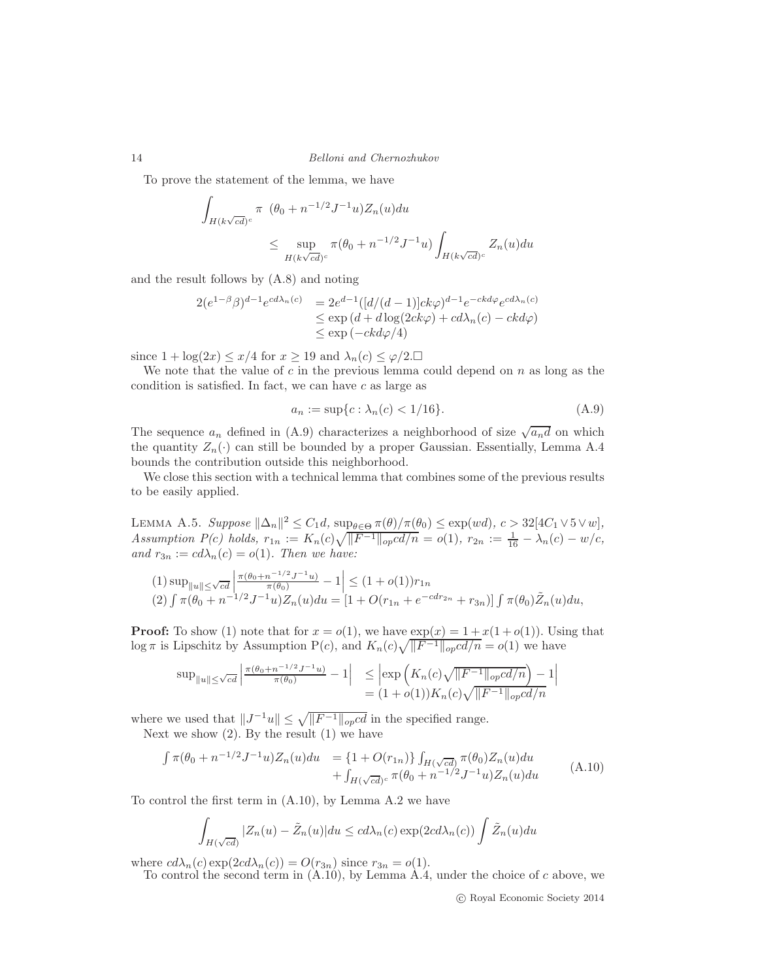To prove the statement of the lemma, we have

$$
\int_{H(k\sqrt{cd})^c} \pi (\theta_0 + n^{-1/2} J^{-1} u) Z_n(u) du
$$
\n
$$
\leq \sup_{H(k\sqrt{cd})^c} \pi (\theta_0 + n^{-1/2} J^{-1} u) \int_{H(k\sqrt{cd})^c} Z_n(u) du
$$

and the result follows by (A.8) and noting

$$
2(e^{1-\beta}\beta)^{d-1}e^{cd\lambda_n(c)} = 2e^{d-1}([d/(d-1)]ck\varphi)^{d-1}e^{-ckd\varphi}e^{cd\lambda_n(c)}
$$
  
\n
$$
\leq \exp\left(d+d\log(2ck\varphi) + cd\lambda_n(c) - ckd\varphi\right)
$$
  
\n
$$
\leq \exp\left(-ckd\varphi/4\right)
$$

since  $1 + \log(2x) \leq x/4$  for  $x \geq 19$  and  $\lambda_n(c) \leq \varphi/2$ .

We note that the value of  $c$  in the previous lemma could depend on  $n$  as long as the condition is satisfied. In fact, we can have  $c$  as large as

$$
a_n := \sup\{c : \lambda_n(c) < 1/16\}. \tag{A.9}
$$

The sequence  $a_n$  defined in (A.9) characterizes a neighborhood of size  $\sqrt{a_n d}$  on which the quantity  $Z_n(\cdot)$  can still be bounded by a proper Gaussian. Essentially, Lemma A.4 bounds the contribution outside this neighborhood.

We close this section with a technical lemma that combines some of the previous results to be easily applied.

LEMMA A.5. Suppose  $\|\Delta_n\|^2 \leq C_1 d$ ,  $\sup_{\theta \in \Theta} \pi(\theta)/\pi(\theta_0) \leq \exp(wd)$ ,  $c > 32[4C_1 \vee 5 \vee w]$ , Assumption  $P(c)$  holds,  $r_{1n} := K_n(c)\sqrt{\|F^{-1}\|_{op}cd/n} = o(1)$ ,  $r_{2n} := \frac{1}{16} - \lambda_n(c) - w/c$ , and  $r_{3n} := cd\lambda_n(c) = o(1)$ . Then we have:

$$
(1) \sup_{\|u\| \le \sqrt{cd}} \left| \frac{\pi(\theta_0 + n^{-1/2}J^{-1}u)}{\pi(\theta_0)} - 1 \right| \le (1 + o(1))r_{1n}
$$
  

$$
(2) \int \pi(\theta_0 + n^{-1/2}J^{-1}u)Z_n(u)du = [1 + O(r_{1n} + e^{-cdr_{2n}} + r_{3n})] \int \pi(\theta_0)\tilde{Z}_n(u)du,
$$

**Proof:** To show (1) note that for  $x = o(1)$ , we have  $exp(x) = 1 + x(1 + o(1))$ . Using that  $\log \pi$  is Lipschitz by Assumption P(c), and  $K_n(c)\sqrt{\|F^{-1}\|_{op}cd/n} = o(1)$  we have

$$
\sup_{\|u\| \le \sqrt{cd}} \left| \frac{\pi(\theta_0 + n^{-1/2} J^{-1} u)}{\pi(\theta_0)} - 1 \right| \le \left| \exp\left( K_n(c) \sqrt{\|F^{-1}\|_{op} cd/n} \right) - 1 \right|
$$
  
=  $(1 + o(1)) K_n(c) \sqrt{\|F^{-1}\|_{op} cd/n}$ 

where we used that  $||J^{-1}u|| \le \sqrt{||F^{-1}||_{op}cd}$  in the specified range. Next we show  $(2)$ . By the result  $(1)$  we have

$$
\int \pi(\theta_0 + n^{-1/2} J^{-1} u) Z_n(u) du = \{1 + O(r_{1n})\} \int_{H(\sqrt{cd})} \pi(\theta_0) Z_n(u) du + \int_{H(\sqrt{cd})^c} \pi(\theta_0 + n^{-1/2} J^{-1} u) Z_n(u) du
$$
\n(A.10)

To control the first term in (A.10), by Lemma A.2 we have

$$
\int_{H(\sqrt{cd})} |Z_n(u) - \tilde{Z}_n(u)| du \leq cd\lambda_n(c) \exp(2cd\lambda_n(c)) \int \tilde{Z}_n(u) du
$$

where  $cd\lambda_n(c) \exp(2cd\lambda_n(c)) = O(r_{3n})$  since  $r_{3n} = o(1)$ .

To control the second term in  $(A.10)$ , by Lemma A.4, under the choice of c above, we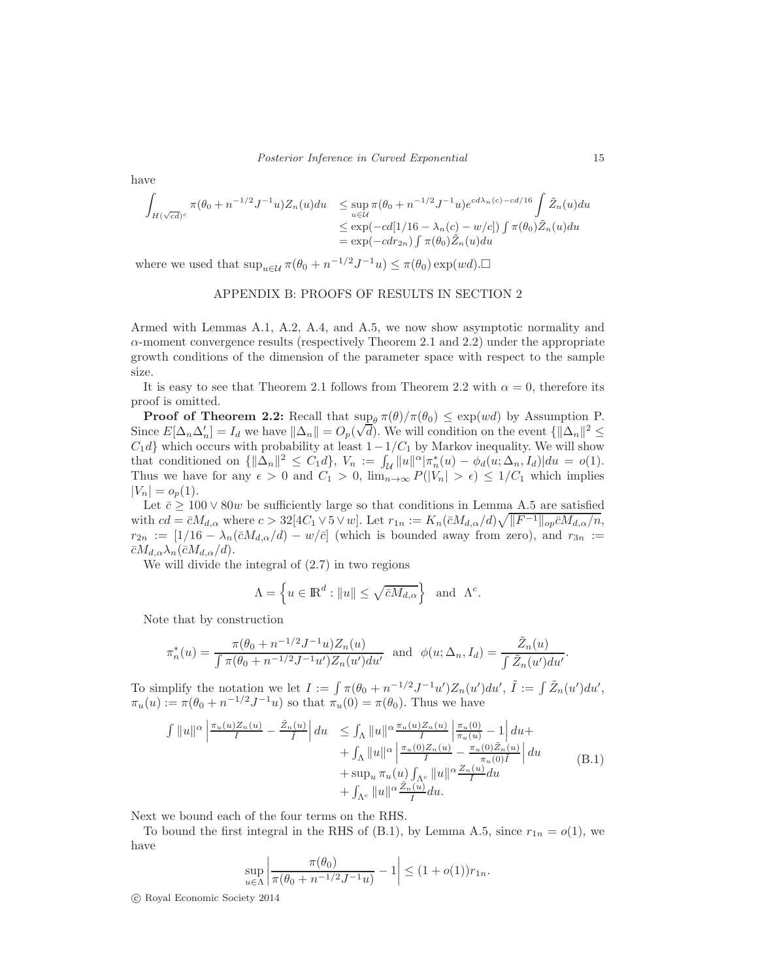have

$$
\int_{H(\sqrt{cd})^c} \pi(\theta_0 + n^{-1/2} J^{-1} u) Z_n(u) du \le \sup_{u \in \mathcal{U}} \pi(\theta_0 + n^{-1/2} J^{-1} u) e^{cd\lambda_n(c) - cd/16} \int_{\mathcal{Z}_n(u) du} \tilde{Z}_n(u) du
$$
\n
$$
\le \exp(-cd[1/16 - \lambda_n(c) - w/c]) \int_{-\infty}^{\infty} \pi(\theta_0) \tilde{Z}_n(u) du
$$
\n
$$
= \exp(-cdr_{2n}) \int_{-\infty}^{\infty} \pi(\theta_0) \tilde{Z}_n(u) du
$$

where we used that  $\sup_{u \in \mathcal{U}} \pi(\theta_0 + n^{-1/2} J^{-1} u) \leq \pi(\theta_0) \exp(w d)$ .

### APPENDIX B: PROOFS OF RESULTS IN SECTION 2

Armed with Lemmas A.1, A.2, A.4, and A.5, we now show asymptotic normality and  $\alpha$ -moment convergence results (respectively Theorem 2.1 and 2.2) under the appropriate growth conditions of the dimension of the parameter space with respect to the sample size.

It is easy to see that Theorem 2.1 follows from Theorem 2.2 with  $\alpha = 0$ , therefore its proof is omitted.

**Proof of Theorem 2.2:** Recall that  $\sup_{\theta} \pi(\theta)/\pi(\theta_0) \leq \exp(wd)$  by Assumption P. Since  $E[\Delta_n \Delta'_n] = I_d$  we have  $\|\Delta_n\| = O_p(\sqrt{d})$ . We will condition on the event  $\{\|\Delta_n\|^2 \leq \sqrt{d}\}$  $C_1d$ } which occurs with probability at least  $1-\frac{1}{C_1}$  by Markov inequality. We will show that conditioned on  ${\{\|\Delta_n\|^2 \leq C_1 d\}}$ ,  $V_n := \int_{\mathcal{U}} \|u\|^\alpha |\pi_n^*(u) - \phi_d(u; \Delta_n, I_d)| du = o(1)$ . Thus we have for any  $\epsilon > 0$  and  $C_1 > 0$ ,  $\lim_{n\to\infty} P(|V_n| > \epsilon) \leq 1/C_1$  which implies  $|V_n| = o_p(1)$ .

Let  $\bar{c}$  > 100  $\vee$  80w be sufficiently large so that conditions in Lemma A.5 are satisfied with  $cd = \bar{c}M_{d,\alpha}$  where  $c > 32[4C_1 \vee 5 \vee w]$ . Let  $r_{1n} := K_n(\bar{c}M_{d,\alpha}/d)\sqrt{\|F^{-1}\|_{op}\bar{c}M_{d,\alpha}/n}$ ,  $r_{2n} := [1/16 - \lambda_n(\bar{c}M_{d,\alpha}/d) - w/\bar{c}]$  (which is bounded away from zero), and  $r_{3n} :=$  $\bar{c}M_{d,\alpha}\lambda_n(\bar{c}M_{d,\alpha}/d).$ 

We will divide the integral of (2.7) in two regions

$$
\Lambda = \left\{ u \in \mathbb{R}^d : ||u|| \le \sqrt{\bar{c}M_{d,\alpha}} \right\} \text{ and } \Lambda^c.
$$

Note that by construction

$$
\pi_n^*(u) = \frac{\pi(\theta_0 + n^{-1/2}J^{-1}u)Z_n(u)}{\int \pi(\theta_0 + n^{-1/2}J^{-1}u')Z_n(u')du'} \text{ and } \phi(u; \Delta_n, I_d) = \frac{\tilde{Z}_n(u)}{\int \tilde{Z}_n(u')du'}.
$$

To simplify the notation we let  $I := \int \pi(\theta_0 + n^{-1/2}J^{-1}u')Z_n(u')du', \tilde{I} := \int \tilde{Z}_n(u')du',$  $\pi_u(u) := \pi(\theta_0 + n^{-1/2}J^{-1}u)$  so that  $\pi_u(0) = \pi(\theta_0)$ . Thus we have

$$
\int ||u||^{\alpha} \left| \frac{\pi_u(u)Z_n(u)}{I} - \frac{\tilde{Z}_n(u)}{I} \right| du \leq \int_{\Lambda} ||u||^{\alpha} \frac{\pi_u(u)Z_n(u)}{I} \left| \frac{\pi_u(0)}{\pi_u(u)} - 1 \right| du + \n+ \int_{\Lambda} ||u||^{\alpha} \left| \frac{\pi_u(0)Z_n(u)}{I} - \frac{\pi_u(0)\tilde{Z}_n(u)}{\pi_u(0)\tilde{I}} \right| du \n+ \sup_u \pi_u(u) \int_{\Lambda^c} ||u||^{\alpha} \frac{Z_n(u)}{I} du \n+ \int_{\Lambda^c} ||u||^{\alpha} \frac{\tilde{Z}_n(u)}{\tilde{I}} du.
$$
\n(B.1)

Next we bound each of the four terms on the RHS.

To bound the first integral in the RHS of (B.1), by Lemma A.5, since  $r_{1n} = o(1)$ , we have

$$
\sup_{u \in \Lambda} \left| \frac{\pi(\theta_0)}{\pi(\theta_0 + n^{-1/2}J^{-1}u)} - 1 \right| \le (1 + o(1))r_{1n}.
$$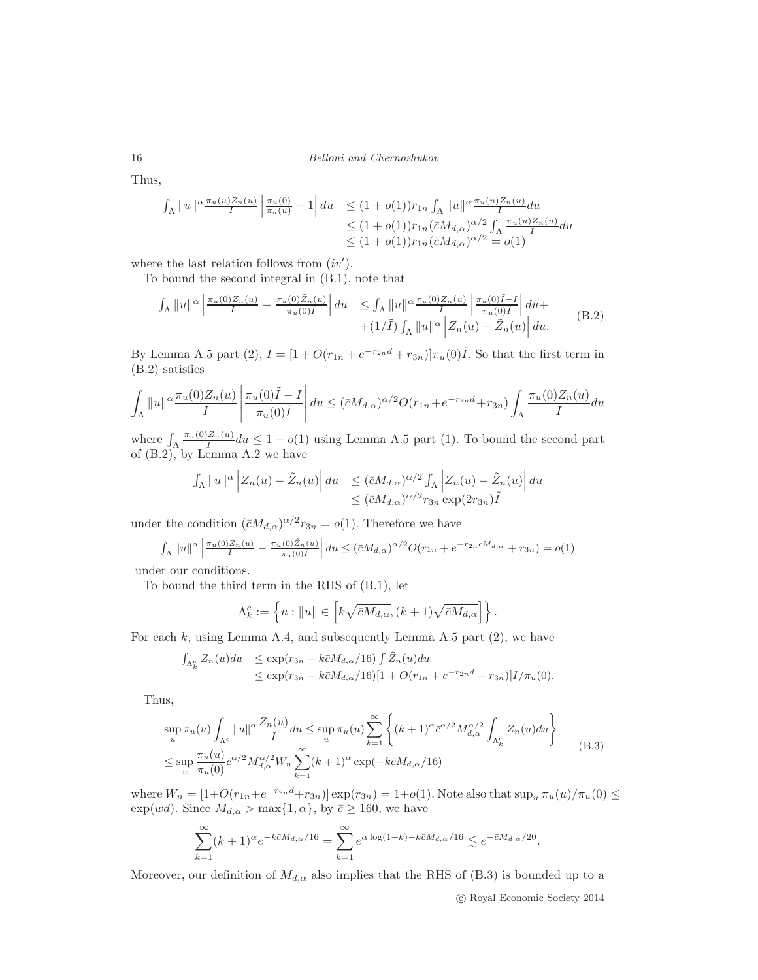Thus,

$$
\int_{\Lambda} ||u||^{\alpha} \frac{\pi_u(u)Z_n(u)}{I} \left| \frac{\pi_u(0)}{\pi_u(u)} - 1 \right| du \leq (1 + o(1))r_{1n} \int_{\Lambda} ||u||^{\alpha} \frac{\pi_u(u)Z_n(u)}{I} du
$$
  

$$
\leq (1 + o(1))r_{1n} (\bar{c}M_{d,\alpha})^{\alpha/2} \int_{\Lambda} \frac{\pi_u(u)Z_n(u)}{I} du
$$
  

$$
\leq (1 + o(1))r_{1n} (\bar{c}M_{d,\alpha})^{\alpha/2} = o(1)
$$

where the last relation follows from  $(iv').$ 

To bound the second integral in (B.1), note that

$$
\int_{\Lambda} ||u||^{\alpha} \left| \frac{\pi_u(0) Z_n(u)}{I} - \frac{\pi_u(0) \tilde{Z}_n(u)}{\pi_u(0) \tilde{I}} \right| du \leq \int_{\Lambda} ||u||^{\alpha} \frac{\pi_u(0) Z_n(u)}{I} \left| \frac{\pi_u(0) \tilde{I} - I}{\pi_u(0) \tilde{I}} \right| du + + (1/\tilde{I}) \int_{\Lambda} ||u||^{\alpha} \left| Z_n(u) - \tilde{Z}_n(u) \right| du.
$$
 (B.2)

By Lemma A.5 part (2),  $I = [1 + O(r_{1n} + e^{-r_{2n}d} + r_{3n})]\pi_u(0)\tilde{I}$ . So that the first term in (B.2) satisfies

$$
\int_{\Lambda} ||u||^{\alpha} \frac{\pi_u(0)Z_n(u)}{I} \left| \frac{\pi_u(0)\tilde{I} - I}{\pi_u(0)\tilde{I}} \right| du \leq (\bar{c}M_{d,\alpha})^{\alpha/2} O(r_{1n} + e^{-r_{2n}d} + r_{3n}) \int_{\Lambda} \frac{\pi_u(0)Z_n(u)}{I} du
$$

where  $\int_{\Lambda} \frac{\pi_u(0)Z_n(u)}{I} du \leq 1 + o(1)$  using Lemma A.5 part (1). To bound the second part of (B.2), by Lemma A.2 we have

$$
\int_{\Lambda} \|u\|^{\alpha} \left| Z_n(u) - \tilde{Z}_n(u) \right| du \leq (\bar{c} M_{d,\alpha})^{\alpha/2} \int_{\Lambda} \left| Z_n(u) - \tilde{Z}_n(u) \right| du
$$
  

$$
\leq (\bar{c} M_{d,\alpha})^{\alpha/2} r_{3n} \exp(2r_{3n}) \tilde{I}
$$

under the condition  $(\bar{c}M_{d,\alpha})^{\alpha/2}r_{3n} = o(1)$ . Therefore we have

$$
\int_{\Lambda} \|u\|^{\alpha} \left| \frac{\pi_u(0)Z_n(u)}{I} - \frac{\pi_u(0)\tilde{Z}_n(u)}{\pi_u(0)\tilde{I}} \right| du \le (\bar{c}M_{d,\alpha})^{\alpha/2} O(r_{1n} + e^{-r_{2n}\bar{c}M_{d,\alpha}} + r_{3n}) = o(1)
$$

under our conditions.

To bound the third term in the RHS of (B.1), let

$$
\Lambda_k^c:=\left\{u: \|u\|\in \left[k\sqrt{\bar{c}M_{d,\alpha}},(k+1)\sqrt{\bar{c}M_{d,\alpha}}\right]\right\}.
$$

For each  $k$ , using Lemma A.4, and subsequently Lemma A.5 part  $(2)$ , we have

$$
\int_{\Lambda_k^c} Z_n(u) du \le \exp(r_{3n} - k\bar{c}M_{d,\alpha}/16) \int \tilde{Z}_n(u) du \le \exp(r_{3n} - k\bar{c}M_{d,\alpha}/16)[1 + O(r_{1n} + e^{-r_{2n}d} + r_{3n})]I/\pi_u(0).
$$

Thus,

$$
\sup_{u} \pi_{u}(u) \int_{\Lambda^{c}} ||u||^{\alpha} \frac{Z_{n}(u)}{I} du \leq \sup_{u} \pi_{u}(u) \sum_{k=1}^{\infty} \left\{ (k+1)^{\alpha} \bar{c}^{\alpha/2} M_{d,\alpha}^{\alpha/2} \int_{\Lambda_{k}^{c}} Z_{n}(u) du \right\}
$$
  

$$
\leq \sup_{u} \frac{\pi_{u}(u)}{\pi_{u}(0)} \bar{c}^{\alpha/2} M_{d,\alpha}^{\alpha/2} W_{n} \sum_{k=1}^{\infty} (k+1)^{\alpha} \exp(-k\bar{c}M_{d,\alpha}/16)
$$
 (B.3)

where  $W_n = [1 + O(r_{1n} + e^{-r_{2n}d} + r_{3n})] \exp(r_{3n}) = 1 + o(1)$ . Note also that  $\sup_u \pi_u(u)/\pi_u(0) \le$ exp(wd). Since  $M_{d,\alpha} > \max\{1,\alpha\}$ , by  $\bar{c} \ge 160$ , we have

$$
\sum_{k=1}^{\infty} (k+1)^{\alpha} e^{-k\bar{c}M_{d,\alpha}/16} = \sum_{k=1}^{\infty} e^{\alpha \log(1+k) - k\bar{c}M_{d,\alpha}/16} \lesssim e^{-\bar{c}M_{d,\alpha}/20}.
$$

Moreover, our definition of  $M_{d,\alpha}$  also implies that the RHS of (B.3) is bounded up to a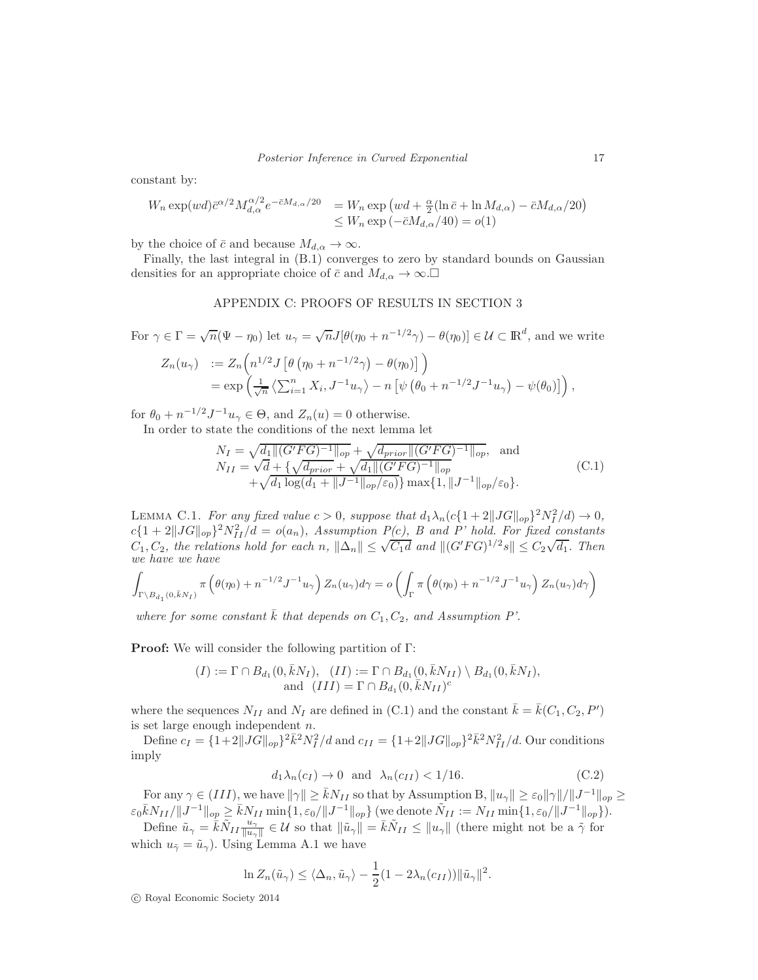constant by:

$$
W_n \exp(wd)\bar{c}^{\alpha/2} M_{d,\alpha}^{\alpha/2} e^{-\bar{c}M_{d,\alpha}/20} = W_n \exp\left(wd + \frac{\alpha}{2} (\ln \bar{c} + \ln M_{d,\alpha}) - \bar{c}M_{d,\alpha}/20\right)
$$
  

$$
\leq W_n \exp\left(-\bar{c}M_{d,\alpha}/40\right) = o(1)
$$

by the choice of  $\bar{c}$  and because  $M_{d,\alpha} \to \infty$ .

Finally, the last integral in (B.1) converges to zero by standard bounds on Gaussian densities for an appropriate choice of  $\bar{c}$  and  $M_{d,\alpha} \to \infty$ .

## APPENDIX C: PROOFS OF RESULTS IN SECTION 3

For  $\gamma \in \Gamma = \sqrt{n}(\Psi - \eta_0)$  let  $u_{\gamma} = \sqrt{n}J[\theta(\eta_0 + n^{-1/2}\gamma) - \theta(\eta_0)] \in \mathcal{U} \subset \mathbb{R}^d$ , and we write

$$
Z_n(u_\gamma) := Z_n\left(n^{1/2}J\left[\theta\left(\eta_0 + n^{-1/2}\gamma\right) - \theta(\eta_0)\right]\right)
$$
  
=  $\exp\left(\frac{1}{\sqrt{n}}\left\langle\sum_{i=1}^n X_i, J^{-1}u_\gamma\right\rangle - n\left[\psi\left(\theta_0 + n^{-1/2}J^{-1}u_\gamma\right) - \psi(\theta_0)\right]\right),$ 

for  $\theta_0 + n^{-1/2} J^{-1} u_\gamma \in \Theta$ , and  $Z_n(u) = 0$  otherwise.

In order to state the conditions of the next lemma let

$$
N_{I} = \sqrt{d_{1} || (G'FG)^{-1} ||_{op}} + \sqrt{d_{prior} || (G'FG)^{-1} ||_{op}}, \text{ and}
$$
  
\n
$$
N_{II} = \sqrt{d} + \{\sqrt{d_{prior} + \sqrt{d_{1} || (G'FG)^{-1} ||_{op}}}
$$
  
\n
$$
+ \sqrt{d_{1} \log(d_{1} + ||J^{-1}||_{op}/\varepsilon_{0}}}\} \max\{1, ||J^{-1}||_{op}/\varepsilon_{0}\}.
$$
\n(C.1)

LEMMA C.1. For any fixed value  $c > 0$ , suppose that  $d_1\lambda_n(c\{1+2\|JG\|_{op}\}^2N_I^2/d) \to 0$ ,  $c\{1+2\|JG\|_{op}\}^2N_{II}^2/d = o(a_n)$ , Assumption  $P(c)$ , B and P' hold. For fixed constants  $C_1, C_2$ , the relations hold for each n,  $\|\Delta_n\| \leq \sqrt{C_1 d}$  and  $\|(G'FG)^{1/2} s\| \leq C_2 \sqrt{d_1}$ . Then we have we have

$$
\int_{\Gamma\backslash B_{d_1}(0,\bar{k}N_I)} \pi\left(\theta(\eta_0) + n^{-1/2}J^{-1}u_\gamma\right) Z_n(u_\gamma) d\gamma = o\left(\int_{\Gamma} \pi\left(\theta(\eta_0) + n^{-1/2}J^{-1}u_\gamma\right) Z_n(u_\gamma) d\gamma\right)
$$

where for some constant  $\overline{k}$  that depends on  $C_1, C_2$ , and Assumption P'.

Proof: We will consider the following partition of Γ:

$$
(I) := \Gamma \cap B_{d_1}(0, \bar{k}N_I), \quad (II) := \Gamma \cap B_{d_1}(0, \bar{k}N_{II}) \setminus B_{d_1}(0, \bar{k}N_I),
$$
  
and 
$$
(III) = \Gamma \cap B_{d_1}(0, \bar{k}N_{II})^c
$$

where the sequences  $N_{II}$  and  $N_I$  are defined in (C.1) and the constant  $\bar{k} = \bar{k}(C_1, C_2, P')$ is set large enough independent  $n$ .

Define  $c_I = \{1+2||JG||_{op}\}^2 \bar{k}^2 N_I^2 / d$  and  $c_{II} = \{1+2||JG||_{op}\}^2 \bar{k}^2 N_{II}^2 / d$ . Our conditions imply

$$
d_1 \lambda_n(c_I) \to 0 \quad \text{and} \quad \lambda_n(c_{II}) < 1/16. \tag{C.2}
$$

For any  $\gamma \in (III)$ , we have  $\|\gamma\| \geq \bar{k} N_{II}$  so that by Assumption B,  $\|u_{\gamma}\| \geq \varepsilon_0 \|\gamma\|/\|J^{-1}\|_{op} \geq$  $\varepsilon_0 \bar{k} N_{II}/\|J^{-1}\|_{op} \geq \bar{k} N_{II} \min\{1,\varepsilon_0/\|J^{-1}\|_{op}\} \text{ (we denote } \tilde{N}_{II} := N_{II} \min\{1,\varepsilon_0/\|J^{-1}\|_{op}\}).$ 

Define  $\tilde{u}_{\gamma} = \bar{k} \tilde{N}_{II} \frac{u_{\gamma}}{\|u_{\gamma}\|}$  $\frac{u_\gamma}{\|u_\gamma\|} \in \mathcal{U}$  so that  $\|\tilde{u}_\gamma\| = \bar{k}\tilde{N}_{II} \le \|u_\gamma\|$  (there might not be a  $\tilde{\gamma}$  for which  $u_{\tilde{\gamma}} = \tilde{u}_{\gamma}$ ). Using Lemma A.1 we have

$$
\ln Z_n(\tilde{u}_{\gamma}) \le \langle \Delta_n, \tilde{u}_{\gamma} \rangle - \frac{1}{2} (1 - 2\lambda_n(c_{II})) ||\tilde{u}_{\gamma}||^2.
$$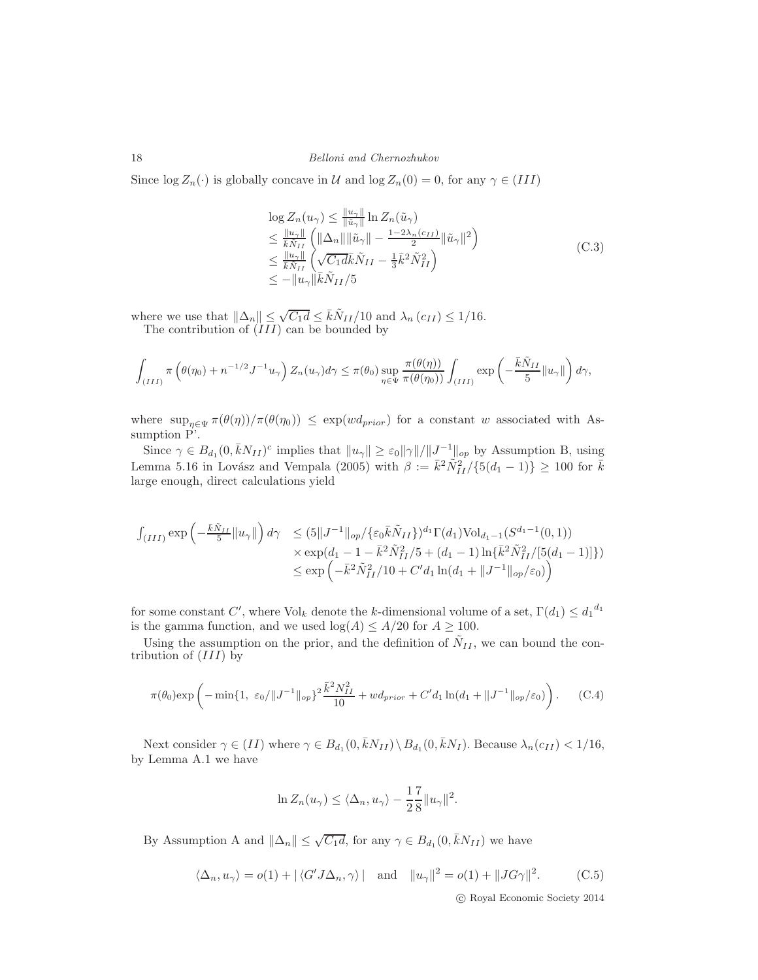Since  $\log Z_n(\cdot)$  is globally concave in U and  $\log Z_n(0) = 0$ , for any  $\gamma \in (III)$ 

$$
\log Z_n(u_\gamma) \leq \frac{u_\gamma}{\|\tilde{u}_\gamma\|} \ln Z_n(\tilde{u}_\gamma)
$$
  
\n
$$
\leq \frac{u_\gamma}{\bar{k}\tilde{N}_{II}} \left( \|\Delta_n\| \|\tilde{u}_\gamma\| - \frac{1-2\lambda_n(c_{II})}{2} \|\tilde{u}_\gamma\|^2 \right)
$$
  
\n
$$
\leq \frac{u_\gamma}{\bar{k}\tilde{N}_{II}} \left( \sqrt{C_1 d\bar{k}} \tilde{N}_{II} - \frac{1}{3} \bar{k}^2 \tilde{N}_{II}^2 \right)
$$
  
\n
$$
\leq -\|u_\gamma\| \bar{k} \tilde{N}_{II}/5
$$
\n(C.3)

where we use that  $\|\Delta_n\| \leq \sqrt{C_1 d} \leq \bar{k}\tilde{N}_{II}/10$  and  $\lambda_n(c_{II}) \leq 1/16$ . The contribution of  $(III)$  can be bounded by

$$
\int_{(III)} \pi \left(\theta(\eta_0) + n^{-1/2} J^{-1} u_\gamma \right) Z_n(u_\gamma) d\gamma \le \pi(\theta_0) \sup_{\eta \in \Psi} \frac{\pi(\theta(\eta))}{\pi(\theta(\eta_0))} \int_{(III)} \exp \left(-\frac{\bar{k} \tilde{N}_{II}}{5} ||u_\gamma||\right) d\gamma,
$$

where  $\sup_{\eta \in \Psi} \pi(\theta(\eta))/\pi(\theta(\eta_0)) \leq \exp(w d_{prior})$  for a constant w associated with Assumption P'.

Since  $\gamma \in B_{d_1}(0, \bar{k}N_{II})^c$  implies that  $||u_\gamma|| \geq \varepsilon_0 ||\gamma|| / ||J^{-1}||_{op}$  by Assumption B, using Lemma 5.16 in Lovász and Vempala (2005) with  $\beta := \bar{k}^2 \tilde{N}_{II}^2 / {\{5(d_1 - 1)\}} \ge 100$  for  $\bar{k}$ large enough, direct calculations yield

$$
\begin{array}{ll}\n\int_{(III)} \exp\left(-\frac{\bar{k}\tilde{N}_{II}}{5}||u_{\gamma}||\right)d\gamma & \leq (5||J^{-1}||_{op}/\{\varepsilon_{0}\bar{k}\tilde{N}_{II}\})^{d_{1}}\Gamma(d_{1})\text{Vol}_{d_{1}-1}(S^{d_{1}-1}(0,1)) \\
& \times \exp(d_{1}-1-\bar{k}^{2}\tilde{N}_{II}^{2}/5+(d_{1}-1)\ln\{\bar{k}^{2}\tilde{N}_{II}^{2}/[5(d_{1}-1)]\}) \\
& \leq \exp\left(-\bar{k}^{2}\tilde{N}_{II}^{2}/10+C'd_{1}\ln(d_{1}+||J^{-1}||_{op}/\varepsilon_{0})\right)\n\end{array}
$$

for some constant C', where  $\text{Vol}_k$  denote the k-dimensional volume of a set,  $\Gamma(d_1) \leq d_1^{d_1}$ is the gamma function, and we used  $log(A) \leq A/20$  for  $A \geq 100$ .

Using the assumption on the prior, and the definition of  $\tilde{N}_{II}$ , we can bound the contribution of  $(III)$  by

$$
\pi(\theta_0) \exp\left(-\min\{1, \ \varepsilon_0/\|J^{-1}\|_{op}\}^2 \frac{\bar{k}^2 N_{II}^2}{10} + w d_{prior} + C' d_1 \ln(d_1 + \|J^{-1}\|_{op}/\varepsilon_0)\right). \tag{C.4}
$$

Next consider  $\gamma \in (II)$  where  $\gamma \in B_{d_1}(0, \bar{k}N_{II}) \setminus B_{d_1}(0, \bar{k}N_I)$ . Because  $\lambda_n(c_{II}) < 1/16$ , by Lemma A.1 we have

$$
\ln Z_n(u_\gamma) \le \langle \Delta_n, u_\gamma \rangle - \frac{1}{2} \frac{7}{8} ||u_\gamma||^2.
$$

By Assumption A and  $||\Delta_n|| \leq \sqrt{C_1 d}$ , for any  $\gamma \in B_{d_1}(0, \bar{k}N_{II})$  we have

$$
\langle \Delta_n, u_\gamma \rangle = o(1) + |\langle G' J \Delta_n, \gamma \rangle| \text{ and } ||u_\gamma||^2 = o(1) + ||JG\gamma||^2. \tag{C.5}
$$
  
 
$$
\text{C. Roval Economic Society 2014}
$$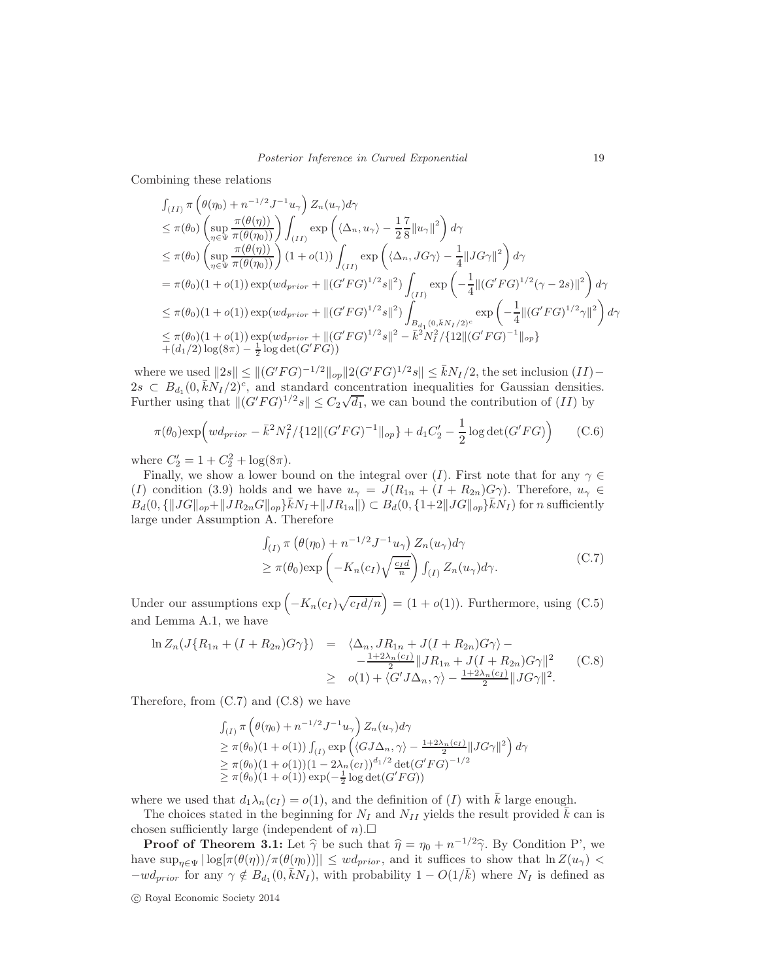Combining these relations

$$
\int_{(II)} \pi \left(\theta(\eta_0) + n^{-1/2} J^{-1} u_{\gamma}\right) Z_n(u_{\gamma}) d\gamma
$$
\n
$$
\leq \pi(\theta_0) \left(\sup_{\eta \in \Psi} \frac{\pi(\theta(\eta))}{\pi(\theta(\eta_0))}\right) \int_{(II)} \exp\left(\langle \Delta_n, u_{\gamma} \rangle - \frac{1}{2} \frac{7}{8} ||u_{\gamma}||^2\right) d\gamma
$$
\n
$$
\leq \pi(\theta_0) \left(\sup_{\eta \in \Psi} \frac{\pi(\theta(\eta))}{\pi(\theta(\eta_0))}\right) (1 + o(1)) \int_{(II)} \exp\left(\langle \Delta_n, JG\gamma \rangle - \frac{1}{4} ||JG\gamma||^2\right) d\gamma
$$
\n
$$
= \pi(\theta_0) (1 + o(1)) \exp(w d_{prior} + ||(G'FG)^{1/2} s||^2) \int_{(II)} \exp\left(-\frac{1}{4} ||(G'FG)^{1/2}(\gamma - 2s)||^2\right) d\gamma
$$
\n
$$
\leq \pi(\theta_0) (1 + o(1)) \exp(w d_{prior} + ||(G'FG)^{1/2} s||^2) \int_{B_{d_1}(0, \bar{k}N_I/2)^c} \exp\left(-\frac{1}{4} ||(G'FG)^{1/2} \gamma||^2\right) d\gamma
$$
\n
$$
\leq \pi(\theta_0) (1 + o(1)) \exp(w d_{prior} + ||(G'FG)^{1/2} s||^2 - \bar{k}^2 N_I^2 / \{12 ||(G'FG)^{-1}||_{op}\}
$$
\n
$$
+ (d_1/2) \log(8\pi) - \frac{1}{2} \log \det(G'FG))
$$

where we used  $||2s|| \le ||(G'FG)^{-1/2}||_{op} ||2(G'FG)^{1/2}s|| \le \bar{k}N_I/2$ , the set inclusion  $(II)$  –  $2s \,\subset B_{d_1}(0,\bar{k}N_I/2)^c$ , and standard concentration inequalities for Gaussian densities. Further using that  $\|(G'FG)^{1/2}s\| \leq C_2\sqrt{d_1}$ , we can bound the contribution of  $(II)$  by

$$
\pi(\theta_0) \exp\left(w d_{prior} - \bar{k}^2 N_I^2 / \{12 \| (G'FG)^{-1} \|_{op} \} + d_1 C_2' - \frac{1}{2} \log \det(G'FG)\right) \tag{C.6}
$$

where  $C'_2 = 1 + C_2^2 + \log(8\pi)$ .

Finally, we show a lower bound on the integral over (I). First note that for any  $\gamma \in$ (I) condition (3.9) holds and we have  $u_{\gamma} = J(R_{1n} + (I + R_{2n})G_{\gamma})$ . Therefore,  $u_{\gamma} \in$  $B_d(0, \{ ||JG||_{op} + ||JR_{2n}G||_{op} \}$   $\bar{k}N_I + ||JR_{1n}||) \subset B_d(0, \{ 1+2||JG||_{op} \}$   $\bar{k}N_I)$  for n sufficiently large under Assumption A. Therefore

$$
\int_{(I)} \pi \left( \theta(\eta_0) + n^{-1/2} J^{-1} u_{\gamma} \right) Z_n(u_{\gamma}) d\gamma
$$
\n
$$
\geq \pi(\theta_0) \exp\left( -K_n(c_I) \sqrt{\frac{c_I d}{n}} \right) \int_{(I)} Z_n(u_{\gamma}) d\gamma.
$$
\n(C.7)

Under our assumptions  $\exp\left(-K_n(c_I)\sqrt{c_Id/n}\right) = (1+o(1))$ . Furthermore, using (C.5) and Lemma A.1, we have

$$
\ln Z_n(J\{R_{1n} + (I + R_{2n})G\gamma\}) = \langle \Delta_n, JR_{1n} + J(I + R_{2n})G\gamma \rangle - \frac{1 + 2\lambda_n(c_I)}{2} \|JR_{1n} + J(I + R_{2n})G\gamma\|^2
$$
 (C.8)  
\n
$$
\geq o(1) + \langle G'J\Delta_n, \gamma \rangle - \frac{1 + 2\lambda_n(c_I)}{2} \|JG\gamma\|^2.
$$

Therefore, from  $(C.7)$  and  $(C.8)$  we have

$$
\int_{(I)} \pi \left(\theta(\eta_0) + n^{-1/2} J^{-1} u_\gamma\right) Z_n(u_\gamma) d\gamma
$$
\n
$$
\geq \pi(\theta_0) (1 + o(1)) \int_{(I)} \exp\left(\langle G J \Delta_n, \gamma \rangle - \frac{1 + 2\lambda_n(c_I)}{2} ||J G \gamma||^2\right) d\gamma
$$
\n
$$
\geq \pi(\theta_0) (1 + o(1)) (1 - 2\lambda_n(c_I))^{d_1/2} \det(G' F G)^{-1/2}
$$
\n
$$
\geq \pi(\theta_0) (1 + o(1)) \exp(-\frac{1}{2} \log \det(G' F G))
$$

where we used that  $d_1\lambda_n(c_I) = o(1)$ , and the definition of (I) with k large enough.

The choices stated in the beginning for  $N_I$  and  $N_{II}$  yields the result provided  $\bar{k}$  can is chosen sufficiently large (independent of  $n$ ).  $\square$ 

**Proof of Theorem 3.1:** Let  $\hat{\gamma}$  be such that  $\hat{\eta} = \eta_0 + n^{-1/2}\hat{\gamma}$ . By Condition P', we have  $\sup_{\eta \in \Psi} |\log[\pi(\theta(\eta)) / \pi(\theta(\eta_0))]| \leq w d_{prior}$ , and it suffices to show that  $\ln Z(u_\gamma)$  $-wd_{prior}$  for any  $\gamma \notin B_{d_1}(0, \bar{k}N_I)$ , with probability  $1 - O(1/\bar{k})$  where  $N_I$  is defined as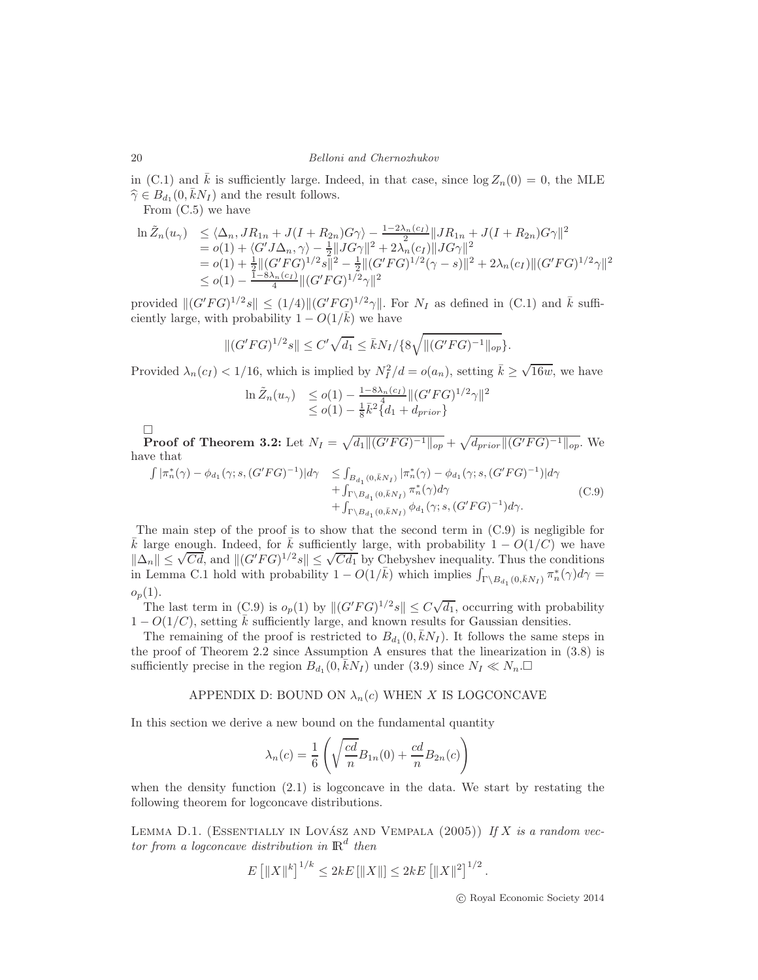in (C.1) and k is sufficiently large. Indeed, in that case, since  $\log Z_n(0) = 0$ , the MLE  $\widehat{\gamma} \in B_{d_1}(0, \bar{k}N_I)$  and the result follows.

From (C.5) we have

$$
\begin{array}{ll}\n\ln \tilde{Z}_n(u_\gamma) & \leq \langle \Delta_n, J R_{1n} + J(I + R_{2n}) G \gamma \rangle - \frac{1 - 2\lambda_n(c_I)}{2} \| J R_{1n} + J(I + R_{2n}) G \gamma \|^2 \\
& = o(1) + \langle G' J \Delta_n, \gamma \rangle - \frac{1}{2} \| J G \gamma \|^2 + 2\lambda_n(c_I) \| J G \gamma \|^2 \\
& = o(1) + \frac{1}{2} \| (G' F G)^{1/2} s \|^2 - \frac{1}{2} \| (G' F G)^{1/2} (\gamma - s) \|^2 + 2\lambda_n(c_I) \| (G' F G)^{1/2} \gamma \|^2 \\
& \leq o(1) - \frac{1 - 8\lambda_n(c_I)}{4} \| (G' F G)^{1/2} \gamma \|^2\n\end{array}
$$

provided  $||(G'FG)^{1/2}s|| \leq (1/4)||(G'FG)^{1/2}\gamma||$ . For  $N_I$  as defined in (C.1) and  $\bar{k}$  sufficiently large, with probability  $1 - O(1/\bar{k})$  we have

$$
||(G'FG)^{1/2}s|| \leq C'\sqrt{d_1} \leq \bar{k}N_I/\{8\sqrt{||(G'FG)^{-1}||_{op}\}}.
$$

Provided  $\lambda_n(c_I) < 1/16$ , which is implied by  $N_I^2/d = o(a_n)$ , setting  $\bar{k} \ge \sqrt{16w}$ , we have

$$
\ln \tilde{Z}_n(u_\gamma) \leq o(1) - \frac{1 - 8\lambda_n(c_I)}{4} ||(G'FG)^{1/2}\gamma||^2
$$
  
 
$$
\leq o(1) - \frac{1}{8}\overline{k}^2 \{d_I + d_{prior}\}
$$

 $\Box$ **Proof of Theorem 3.2:** Let  $N_I = \sqrt{d_1 ||(G'FG)^{-1}||_{op}} + \sqrt{d_{prior} ||(G'FG)^{-1}||_{op}}$ . We have that

$$
\int |\pi_n^*(\gamma) - \phi_{d_1}(\gamma; s, (G'FG)^{-1})| d\gamma \le \int_{B_{d_1}(0,\bar{k}N_I)} |\pi_n^*(\gamma) - \phi_{d_1}(\gamma; s, (G'FG)^{-1})| d\gamma + \int_{\Gamma \backslash B_{d_1}(0,\bar{k}N_I)} \pi_n^*(\gamma) d\gamma + \int_{\Gamma \backslash B_{d_1}(0,\bar{k}N_I)} \phi_{d_1}(\gamma; s, (G'FG)^{-1}) d\gamma.
$$
 (C.9)

The main step of the proof is to show that the second term in (C.9) is negligible for k large enough. Indeed, for k sufficiently large, with probability  $1 - O(1/C)$  we have  $\|\Delta_n\| \leq \sqrt{Cd}$ , and  $\|(G'FG)^{1/2}s\| \leq \sqrt{Cd_1}$  by Chebyshev inequality. Thus the conditions in Lemma C.1 hold with probability  $1 - O(1/\bar{k})$  which implies  $\int_{\Gamma \backslash B_{d_1}(0,\bar{k}N_I)} \pi_n^*(\gamma) d\gamma =$  $o_p(1)$ .

The last term in (C.9) is  $o_p(1)$  by  $||(G'FG)^{1/2}s|| \leq C\sqrt{d_1}$ , occurring with probability  $1 - O(1/C)$ , setting  $\overline{k}$  sufficiently large, and known results for Gaussian densities.

The remaining of the proof is restricted to  $B_{d_1}(0, \bar{k}N_I)$ . It follows the same steps in the proof of Theorem 2.2 since Assumption A ensures that the linearization in (3.8) is sufficiently precise in the region  $B_{d_1}(0, \bar{k}N_I)$  under  $(3.9)$  since  $N_I \ll N_n$ .

# APPENDIX D: BOUND ON  $\lambda_n(c)$  WHEN X IS LOGCONCAVE

In this section we derive a new bound on the fundamental quantity

$$
\lambda_n(c) = \frac{1}{6} \left( \sqrt{\frac{cd}{n}} B_{1n}(0) + \frac{cd}{n} B_{2n}(c) \right)
$$

when the density function (2.1) is logconcave in the data. We start by restating the following theorem for logconcave distributions.

LEMMA D.1. (ESSENTIALLY IN LOVÁSZ AND VEMPALA  $(2005)$ ) If X is a random vector from a logconcave distribution in  $\mathbb{R}^d$  then

$$
E\left[\|X\|^k\right]^{1/k} \le 2kE\left[\|X\|\right] \le 2kE\left[\|X\|^2\right]^{1/2}.
$$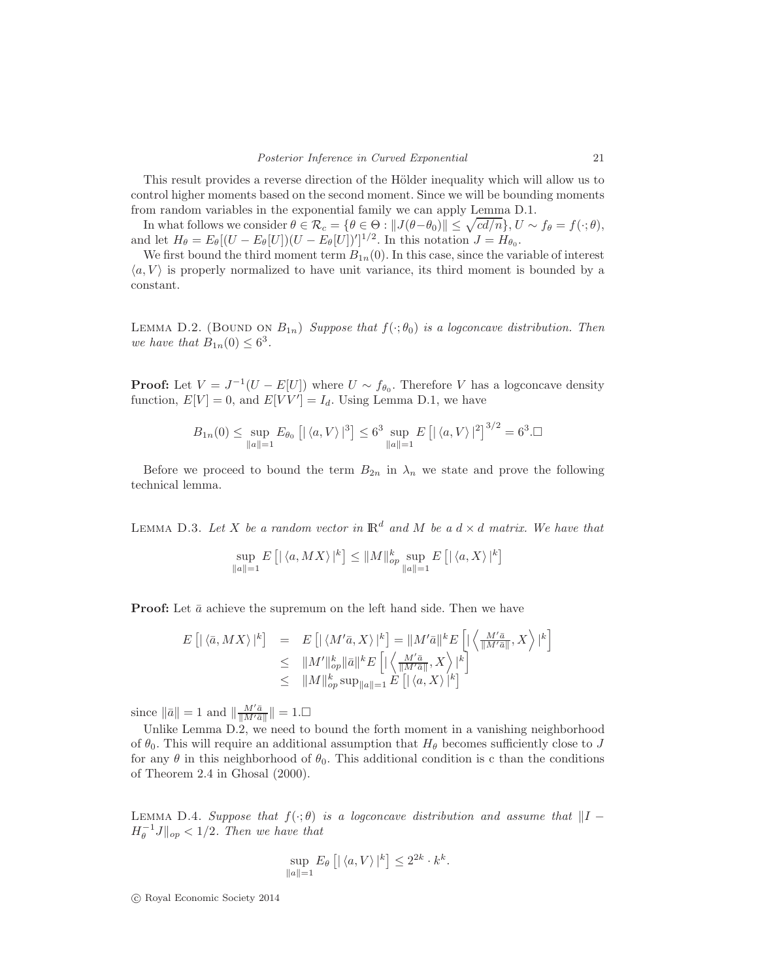This result provides a reverse direction of the Hölder inequality which will allow us to control higher moments based on the second moment. Since we will be bounding moments from random variables in the exponential family we can apply Lemma D.1.

In what follows we consider  $\theta \in \mathcal{R}_c = \{\theta \in \Theta : ||J(\theta - \theta_0)|| \leq \sqrt{cd/n}\}, U \sim f_\theta = f(\cdot; \theta),$ and let  $H_{\theta} = E_{\theta}[(U - E_{\theta}[U])(U - E_{\theta}[U])']^{1/2}$ . In this notation  $J = H_{\theta_0}$ .

We first bound the third moment term  $B_{1n}(0)$ . In this case, since the variable of interest  $\langle a, V \rangle$  is properly normalized to have unit variance, its third moment is bounded by a constant.

LEMMA D.2. (BOUND ON  $B_{1n}$ ) Suppose that  $f(\cdot;\theta_0)$  is a logconcave distribution. Then we have that  $B_{1n}(0) \leq 6^3$ .

**Proof:** Let  $V = J^{-1}(U - E[U])$  where  $U \sim f_{\theta_0}$ . Therefore V has a logconcave density function,  $E[V] = 0$ , and  $E[VV'] = I_d$ . Using Lemma D.1, we have

$$
B_{1n}(0) \le \sup_{\|a\|=1} E_{\theta_0} [\,|\,\langle a, V\rangle\,|^3] \le 6^3 \sup_{\|a\|=1} E \left[ |\,\langle a, V\rangle\,|^2 \right]^{3/2} = 6^3. \Box
$$

Before we proceed to bound the term  $B_{2n}$  in  $\lambda_n$  we state and prove the following technical lemma.

LEMMA D.3. Let X be a random vector in  $\mathbb{R}^d$  and M be a  $d \times d$  matrix. We have that

$$
\sup_{\|a\|=1} E\left[|\langle a, MX\rangle|^k\right] \le \|M\|_{op}^k \sup_{\|a\|=1} E\left[|\langle a,X\rangle|^k\right]
$$

**Proof:** Let  $\bar{a}$  achieve the supremum on the left hand side. Then we have

$$
E\left[\left|\left\langle \bar{a}, MX\right\rangle\right|^{k}\right] = E\left[\left|\left\langle M'\bar{a},X\right\rangle\right|^{k}\right] = \|M'\bar{a}\|^{k} E\left[\left|\left\langle \frac{M'\bar{a}}{\|M'\bar{a}\|},X\right\rangle\right|^{k}\right] \n\leq \|M'\|_{op}^{k} \|\bar{a}\|^{k} E\left[\left|\left\langle \frac{M'\bar{a}}{\|M'\bar{a}\|},X\right\rangle\right|^{k}\right] \n\leq \|M\|_{op}^{k} \sup_{\|a\|=1} E\left[\left|\left\langle a,X\right\rangle\right|^{k}\right]
$$

since  $\|\bar{a}\| = 1$  and  $\|\frac{M'\bar{a}}{\|M'\bar{a}}\|$  $\frac{M'a}{\|M'\bar{a}\|}\|=1.$ 

Unlike Lemma D.2, we need to bound the forth moment in a vanishing neighborhood of  $\theta_0$ . This will require an additional assumption that  $H_\theta$  becomes sufficiently close to J for any  $\theta$  in this neighborhood of  $\theta_0$ . This additional condition is c than the conditions of Theorem 2.4 in Ghosal (2000).

LEMMA D.4. Suppose that  $f(\cdot;\theta)$  is a logconcave distribution and assume that  $||I H_{\theta}^{-1}J\Vert_{op} < 1/2$ . Then we have that

$$
\sup_{\|a\|=1} E_{\theta}\left[|\langle a, V\rangle|^{k}\right] \leq 2^{2k} \cdot k^{k}.
$$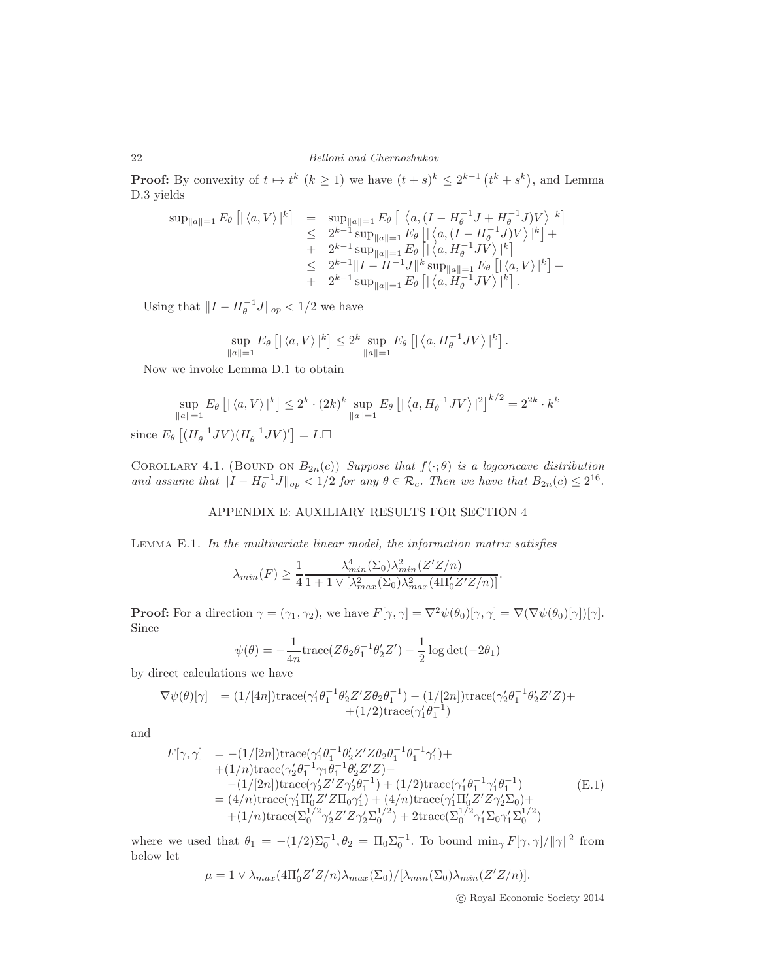**Proof:** By convexity of  $t \mapsto t^k$   $(k \ge 1)$  we have  $(t + s)^k \le 2^{k-1} (t^k + s^k)$ , and Lemma D.3 yields

$$
\sup_{\|a\|=1} E_{\theta} \left[ |\langle a, V \rangle|^{k} \right] = \sup_{\|a\|=1} E_{\theta} \left[ |\langle a, (I - H_{\theta}^{-1} J + H_{\theta}^{-1} J) V \rangle |^{k} \right] \n\leq 2^{k-1} \sup_{\|a\|=1} E_{\theta} \left[ |\langle a, (I - H_{\theta}^{-1} J) V \rangle |^{k} \right] +\n+ 2^{k-1} \sup_{\|a\|=1} E_{\theta} \left[ |\langle a, H_{\theta}^{-1} J V \rangle |^{k} \right] \n\leq 2^{k-1} \|I - H^{-1} J\|^{k} \sup_{\|a\|=1} E_{\theta} \left[ |\langle a, V \rangle|^{k} \right] +\n+ 2^{k-1} \sup_{\|a\|=1} E_{\theta} \left[ |\langle a, H_{\theta}^{-1} J V \rangle |^{k} \right].
$$

Using that  $\|I - H_{\theta}^{-1}J\|_{op} < 1/2$  we have

$$
\sup_{\|a\|=1} E_{\theta}\left[|\langle a, V\rangle|^{k}\right] \leq 2^{k} \sup_{\|a\|=1} E_{\theta}\left[|\langle a, H_{\theta}^{-1}JV\rangle|^{k}\right].
$$

Now we invoke Lemma D.1 to obtain

$$
\sup_{\|a\|=1} E_{\theta} \left[ |\langle a, V \rangle|^k \right] \le 2^k \cdot (2k)^k \sup_{\|a\|=1} E_{\theta} \left[ |\langle a, H_{\theta}^{-1} J V \rangle|^2 \right]^{k/2} = 2^{2k} \cdot k^k
$$
  
since  $E_{\theta} \left[ (H_{\theta}^{-1} J V)(H_{\theta}^{-1} J V)' \right] = I \cdot \square$ 

COROLLARY 4.1. (BOUND ON  $B_{2n}(c)$ ) Suppose that  $f(\cdot; \theta)$  is a logconcave distribution and assume that  $||I - H_{\theta}^{-1}J||_{op} < 1/2$  for any  $\theta \in \mathcal{R}_c$ . Then we have that  $B_{2n}(c) \leq 2^{16}$ .

# APPENDIX E: AUXILIARY RESULTS FOR SECTION 4

Lemma E.1. In the multivariate linear model, the information matrix satisfies

$$
\lambda_{min}(F) \ge \frac{1}{4} \frac{\lambda_{min}^4(\Sigma_0) \lambda_{min}^2(Z'Z/n)}{1 + 1 \vee [\lambda_{max}^2(\Sigma_0) \lambda_{max}^2(4\Pi_0' Z'Z/n)]}.
$$

**Proof:** For a direction  $\gamma = (\gamma_1, \gamma_2)$ , we have  $F[\gamma, \gamma] = \nabla^2 \psi(\theta_0)[\gamma, \gamma] = \nabla(\nabla \psi(\theta_0)[\gamma])[\gamma]$ . Since

$$
\psi(\theta) = -\frac{1}{4n} \text{trace}(Z\theta_2\theta_1^{-1}\theta_2'Z') - \frac{1}{2}\log \det(-2\theta_1)
$$

by direct calculations we have

$$
\nabla \psi(\theta)[\gamma] = (1/[4n])\text{trace}(\gamma_1'\theta_1^{-1}\theta_2'Z'Z\theta_2\theta_1^{-1}) - (1/[2n])\text{trace}(\gamma_2'\theta_1^{-1}\theta_2'Z'Z) +
$$
  
+(1/2)\text{trace}(\gamma\_1'\theta\_1^{-1})

and

$$
F[\gamma, \gamma] = -(1/[2n])\text{trace}(\gamma_1'\theta_1^{-1}\theta_2' Z' Z \theta_2 \theta_1^{-1}\theta_1^{-1}\gamma_1') ++ (1/n)\text{trace}(\gamma_2'\theta_1^{-1}\gamma_1\theta_1^{-1}\theta_2' Z' Z) --(1/[2n])\text{trace}(\gamma_2' Z' Z \gamma_2'\theta_1^{-1}) + (1/2)\text{trace}(\gamma_1'\theta_1^{-1}\gamma_1'\theta_1^{-1})= (4/n)\text{trace}(\gamma_1'\Pi_0' Z' Z \Pi_0\gamma_1') + (4/n)\text{trace}(\gamma_1'\Pi_0' Z' Z \gamma_2' \Sigma_0) ++ (1/n)\text{trace}(\Sigma_0^{1/2}\gamma_2' Z' Z \gamma_2' \Sigma_0^{1/2}) + 2\text{trace}(\Sigma_0^{1/2}\gamma_1' \Sigma_0\gamma_1' \Sigma_0^{1/2})
$$
(E.1)

where we used that  $\theta_1 = -(1/2)\Sigma_0^{-1}, \theta_2 = \Pi_0 \Sigma_0^{-1}$ . To bound  $\min_{\gamma} F[\gamma, \gamma]/\|\gamma\|^2$  from below let

$$
\mu = 1 \vee \lambda_{max}(4\Pi_0' Z' Z/n) \lambda_{max}(\Sigma_0) / [\lambda_{min}(\Sigma_0) \lambda_{min}(Z' Z/n)].
$$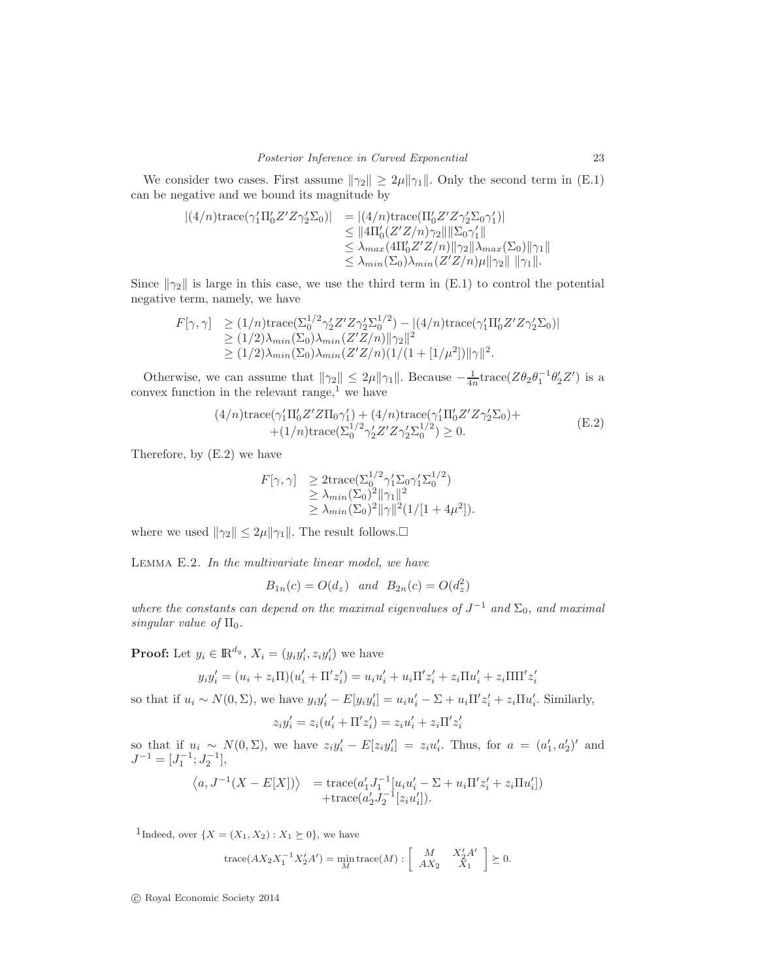We consider two cases. First assume  $\|\gamma_2\| \geq 2\mu \|\gamma_1\|$ . Only the second term in (E.1) can be negative and we bound its magnitude by

$$
\begin{aligned} |(4/n)\text{trace}(\gamma_1'\Pi_0'Z'Z\gamma_2'\Sigma_0)| &= |(4/n)\text{trace}(\Pi_0'Z'Z\gamma_2'\Sigma_0\gamma_1')| \\ &\leq \|4\Pi_0'(Z'Z/n)\gamma_2\| \|\Sigma_0\gamma_1'\| \\ &\leq \lambda_{max}(4\Pi_0'Z'Z/n)\|\gamma_2\|\lambda_{max}(\Sigma_0)\|\gamma_1\| \\ &\leq \lambda_{min}(\Sigma_0)\lambda_{min}(Z'Z/n)\mu\|\gamma_2\|\|\gamma_1\|. \end{aligned}
$$

Since  $\|\gamma_2\|$  is large in this case, we use the third term in (E.1) to control the potential negative term, namely, we have

$$
F[\gamma, \gamma] \ge (1/n) \text{trace}(\Sigma_0^{1/2} \gamma_2' Z' Z \gamma_2' \Sigma_0^{1/2}) - |(4/n) \text{trace}(\gamma_1' \Pi_0' Z' Z \gamma_2' \Sigma_0)|
$$
  
\n
$$
\ge (1/2) \lambda_{min}(\Sigma_0) \lambda_{min} (Z' Z/n) ||\gamma_2||^2
$$
  
\n
$$
\ge (1/2) \lambda_{min}(\Sigma_0) \lambda_{min} (Z' Z/n) (1/(1 + [1/\mu^2)) ||\gamma||^2.
$$

Otherwise, we can assume that  $\|\gamma_2\| \leq 2\mu \|\gamma_1\|$ . Because  $-\frac{1}{4n}$ trace( $Z\theta_2\theta_1^{-1}\theta_2'Z'$ ) is a convex function in the relevant range,<sup>1</sup> we have

$$
(4/n)\text{trace}(\gamma_1'\Pi_0'Z'Z\Pi_0\gamma_1') + (4/n)\text{trace}(\gamma_1'\Pi_0'Z'Z\gamma_2'\Sigma_0) + (1/n)\text{trace}(\Sigma_0^{1/2}\gamma_2'Z'Z\gamma_2'\Sigma_0^{1/2}) \ge 0.
$$
 (E.2)

Therefore, by (E.2) we have

$$
F[\gamma, \gamma] \geq 2 \text{trace}(\Sigma_0^{1/2} \gamma_1' \Sigma_0 \gamma_1' \Sigma_0^{1/2})
$$
  
\n
$$
\geq \lambda_{min}(\Sigma_0)^2 \|\gamma_1\|^2
$$
  
\n
$$
\geq \lambda_{min}(\Sigma_0)^2 \|\gamma\|^2 (1/[1 + 4\mu^2]).
$$

where we used  $\|\gamma_2\| \leq 2\mu \|\gamma_1\|$ . The result follows.

Lemma E.2. In the multivariate linear model, we have

 $B_{1n}(c) = O(d_z)$  and  $B_{2n}(c) = O(d_z^2)$ 

where the constants can depend on the maximal eigenvalues of  $J^{-1}$  and  $\Sigma_0$ , and maximal singular value of  $\Pi_0$ .

**Proof:** Let  $y_i \in \mathbb{R}^{d_y}$ ,  $X_i = (y_i y_i', z_i y_i')$  we have

$$
y_iy_i' = (u_i + z_i \Pi)(u_i' + \Pi'z_i') = u_iu_i' + u_i\Pi'z_i' + z_i\Pi u_i' + z_i\Pi\Pi'z_i'
$$

so that if  $u_i \sim N(0, \Sigma)$ , we have  $y_i y_i' - E[y_i y_i'] = u_i u_i' - \Sigma + u_i \Pi' z_i' + z_i \Pi u_i'$ . Similarly,

$$
z_i y_i' = z_i (u_i' + \Pi' z_i') = z_i u_i' + z_i \Pi' z_i'
$$

′

so that if  $u_i \sim N(0, \Sigma)$ , we have  $z_i y_i' - E[z_i y_i'] = z_i u_i'$ . Thus, for  $a = (a_1', a_2')'$  and  $J^{-1} = [J_1^{-1}; J_2^{-1}],$ 

$$
\langle a, J^{-1}(X - E[X]) \rangle = \text{trace}(a'_1 J_1^{-1}[u_i u'_i - \Sigma + u_i \Pi' z'_i + z_i \Pi u'_i]) + \text{trace}(a'_2 J_2^{-1}[z_i u'_i]).
$$

<sup>1</sup>Indeed, over  $\{X = (X_1, X_2) : X_1 \succeq 0\}$ , we have

trace
$$
(AX_2X_1^{-1}X_2'A')
$$
 = min<sub>M</sub>trace(M) :  $\begin{bmatrix} M & X_2'A' \\ AX_2 & X_1 \end{bmatrix} \succeq 0$ .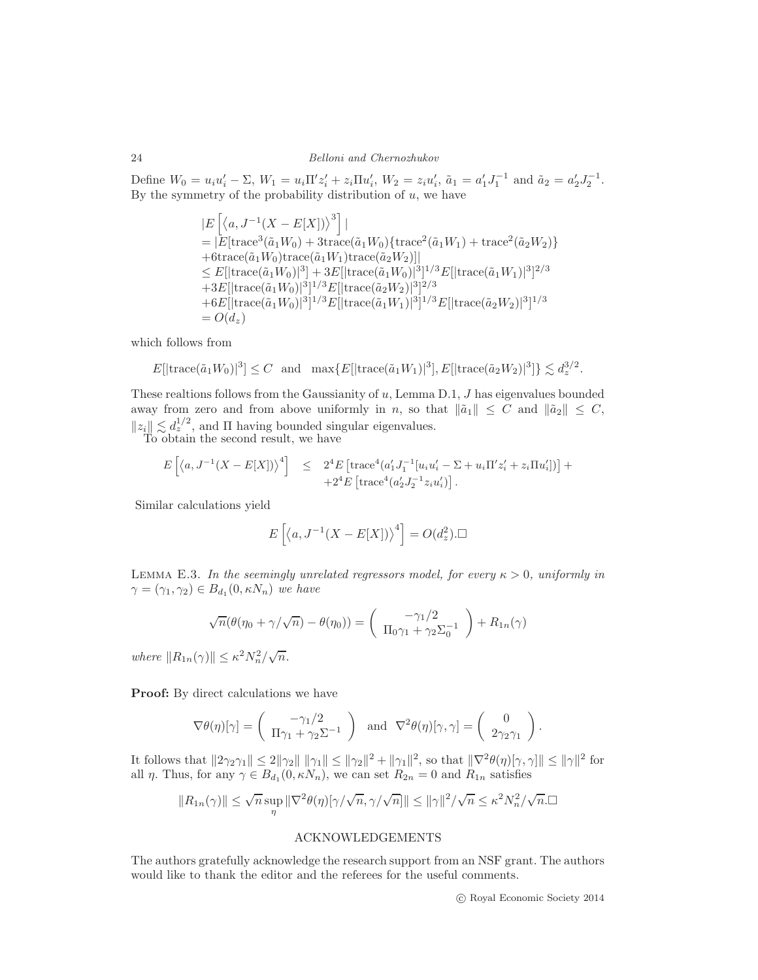Define  $W_0 = u_i u'_i - \sum$ ,  $W_1 = u_i \Pi' z'_i + z_i \Pi u'_i$ ,  $W_2 = z_i u'_i$ ,  $\tilde{a}_1 = a'_1 J_1^{-1}$  and  $\tilde{a}_2 = a'_2 J_2^{-1}$ . By the symmetry of the probability distribution of  $u$ , we have

$$
\begin{split} &|E\left[\left\langle a, J^{-1}(X - E[X])\right\rangle^3\right]| \\ &= |E[\text{trace}^3(\tilde{a}_1 W_0) + 3\text{trace}(\tilde{a}_1 W_0)\{\text{trace}^2(\tilde{a}_1 W_1) + \text{trace}^2(\tilde{a}_2 W_2)\} \\ &+ 6\text{trace}(\tilde{a}_1 W_0)\text{trace}(\tilde{a}_1 W_1)\text{trace}(\tilde{a}_2 W_2)]| \\ &\leq E[|\text{trace}(\tilde{a}_1 W_0)|^3] + 3E[|\text{trace}(\tilde{a}_1 W_0)|^3]^{1/3}E[|\text{trace}(\tilde{a}_1 W_1)|^3]^{2/3} \\ &+ 3E[|\text{trace}(\tilde{a}_1 W_0)|^3]^{1/3}E[|\text{trace}(\tilde{a}_2 W_2)|^3]^{2/3} \\ &+ 6E[|\text{trace}(\tilde{a}_1 W_0)|^3]^{1/3}E[|\text{trace}(\tilde{a}_1 W_1)|^3]^{1/3}E[|\text{trace}(\tilde{a}_2 W_2)|^3]^{1/3} \\ &= O(d_z) \end{split}
$$

which follows from

$$
E[|\operatorname{trace}(\tilde{a}_1 W_0)|^3] \le C \quad \text{and} \quad \max\{E[|\operatorname{trace}(\tilde{a}_1 W_1)|^3], E[|\operatorname{trace}(\tilde{a}_2 W_2)|^3]\} \lesssim d_z^{3/2}.
$$

These realtions follows from the Gaussianity of u, Lemma D.1, J has eigenvalues bounded away from zero and from above uniformly in n, so that  $\|\tilde{a}_1\| \leq C$  and  $\|\tilde{a}_2\| \leq C$ ,  $||z_i|| \lesssim d_z^{1/2}$ , and  $\Pi$  having bounded singular eigenvalues.

To obtain the second result, we have

$$
E\left[\langle a, J^{-1}(X - E[X]) \rangle^{4}\right] \leq 2^{4} E\left[\text{trace}^{4}(a'_{1}J_{1}^{-1}[u_{i}u'_{i} - \Sigma + u_{i}\Pi'z'_{i} + z_{i}\Pi u'_{i}])\right] + 2^{4} E\left[\text{trace}^{4}(a'_{2}J_{2}^{-1}z_{i}u'_{i})\right].
$$

Similar calculations yield

$$
E\left[\langle a, J^{-1}(X - E[X]) \rangle^4\right] = O(d_z^2).\square
$$

LEMMA E.3. In the seemingly unrelated regressors model, for every  $\kappa > 0$ , uniformly in  $\gamma = (\gamma_1, \gamma_2) \in B_{d_1}(0, \kappa N_n)$  we have

$$
\sqrt{n}(\theta(\eta_0 + \gamma/\sqrt{n}) - \theta(\eta_0)) = \begin{pmatrix} -\gamma_1/2 \\ \Pi_0\gamma_1 + \gamma_2\Sigma_0^{-1} \end{pmatrix} + R_{1n}(\gamma)
$$

where  $||R_{1n}(\gamma)|| \leq \kappa^2 N_n^2/\sqrt{n}$ .

Proof: By direct calculations we have

$$
\nabla \theta(\eta)[\gamma] = \begin{pmatrix} -\gamma_1/2 \\ \Pi \gamma_1 + \gamma_2 \Sigma^{-1} \end{pmatrix} \text{ and } \nabla^2 \theta(\eta)[\gamma, \gamma] = \begin{pmatrix} 0 \\ 2\gamma_2 \gamma_1 \end{pmatrix}.
$$

It follows that  $||2\gamma_2\gamma_1|| \leq 2||\gamma_2|| \|\gamma_1\| \leq ||\gamma_2||^2 + ||\gamma_1||^2$ , so that  $||\nabla^2\theta(\eta)[\gamma,\gamma]|| \leq ||\gamma||^2$  for all  $\eta$ . Thus, for any  $\gamma \in B_{d_1}(0, \kappa N_n)$ , we can set  $R_{2n} = 0$  and  $R_{1n}$  satisfies

$$
||R_{1n}(\gamma)|| \leq \sqrt{n} \sup_{\eta} ||\nabla^2 \theta(\eta)[\gamma/\sqrt{n}, \gamma/\sqrt{n}]|| \leq ||\gamma||^2/\sqrt{n} \leq \kappa^2 N_n^2/\sqrt{n}.\Box
$$

# ACKNOWLEDGEMENTS

The authors gratefully acknowledge the research support from an NSF grant. The authors would like to thank the editor and the referees for the useful comments.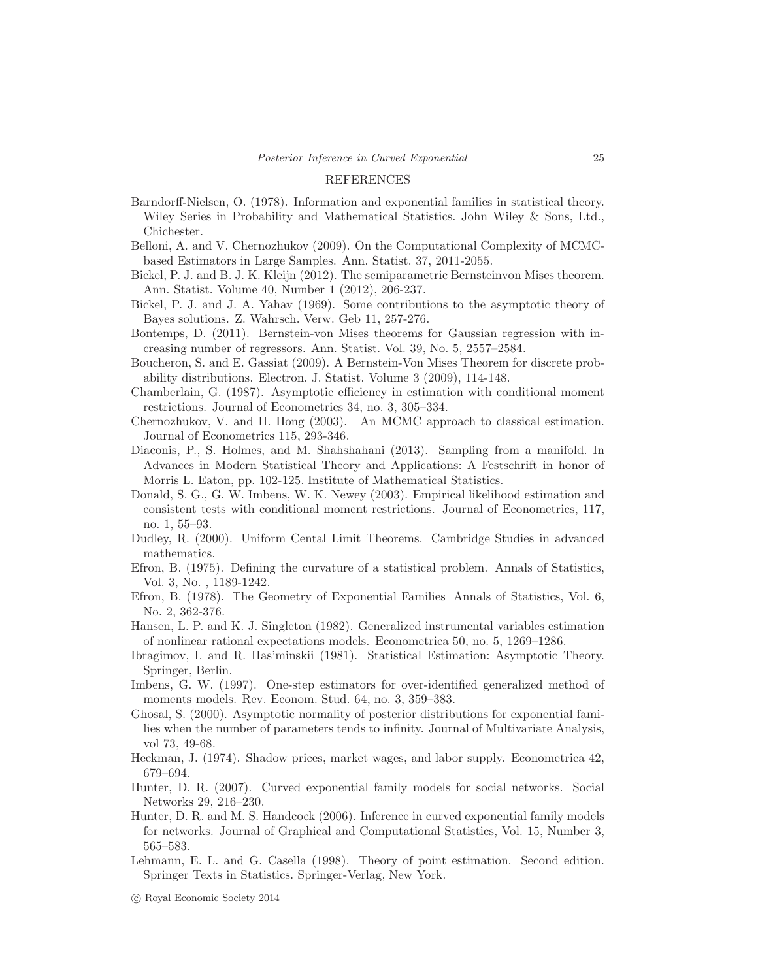#### REFERENCES

- Barndorff-Nielsen, O. (1978). Information and exponential families in statistical theory. Wiley Series in Probability and Mathematical Statistics. John Wiley & Sons, Ltd., Chichester.
- Belloni, A. and V. Chernozhukov (2009). On the Computational Complexity of MCMCbased Estimators in Large Samples. Ann. Statist. 37, 2011-2055.
- Bickel, P. J. and B. J. K. Kleijn (2012). The semiparametric Bernsteinvon Mises theorem. Ann. Statist. Volume 40, Number 1 (2012), 206-237.
- Bickel, P. J. and J. A. Yahav (1969). Some contributions to the asymptotic theory of Bayes solutions. Z. Wahrsch. Verw. Geb 11, 257-276.
- Bontemps, D. (2011). Bernstein-von Mises theorems for Gaussian regression with increasing number of regressors. Ann. Statist. Vol. 39, No. 5, 2557–2584.
- Boucheron, S. and E. Gassiat (2009). A Bernstein-Von Mises Theorem for discrete probability distributions. Electron. J. Statist. Volume 3 (2009), 114-148.
- Chamberlain, G. (1987). Asymptotic efficiency in estimation with conditional moment restrictions. Journal of Econometrics 34, no. 3, 305–334.
- Chernozhukov, V. and H. Hong (2003). An MCMC approach to classical estimation. Journal of Econometrics 115, 293-346.
- Diaconis, P., S. Holmes, and M. Shahshahani (2013). Sampling from a manifold. In Advances in Modern Statistical Theory and Applications: A Festschrift in honor of Morris L. Eaton, pp. 102-125. Institute of Mathematical Statistics.
- Donald, S. G., G. W. Imbens, W. K. Newey (2003). Empirical likelihood estimation and consistent tests with conditional moment restrictions. Journal of Econometrics, 117, no. 1, 55–93.
- Dudley, R. (2000). Uniform Cental Limit Theorems. Cambridge Studies in advanced mathematics.
- Efron, B. (1975). Defining the curvature of a statistical problem. Annals of Statistics, Vol. 3, No. , 1189-1242.
- Efron, B. (1978). The Geometry of Exponential Families Annals of Statistics, Vol. 6, No. 2, 362-376.
- Hansen, L. P. and K. J. Singleton (1982). Generalized instrumental variables estimation of nonlinear rational expectations models. Econometrica 50, no. 5, 1269–1286.
- Ibragimov, I. and R. Has'minskii (1981). Statistical Estimation: Asymptotic Theory. Springer, Berlin.
- Imbens, G. W. (1997). One-step estimators for over-identified generalized method of moments models. Rev. Econom. Stud. 64, no. 3, 359–383.
- Ghosal, S. (2000). Asymptotic normality of posterior distributions for exponential families when the number of parameters tends to infinity. Journal of Multivariate Analysis, vol 73, 49-68.
- Heckman, J. (1974). Shadow prices, market wages, and labor supply. Econometrica 42, 679–694.
- Hunter, D. R. (2007). Curved exponential family models for social networks. Social Networks 29, 216–230.
- Hunter, D. R. and M. S. Handcock (2006). Inference in curved exponential family models for networks. Journal of Graphical and Computational Statistics, Vol. 15, Number 3, 565–583.
- Lehmann, E. L. and G. Casella (1998). Theory of point estimation. Second edition. Springer Texts in Statistics. Springer-Verlag, New York.

c Royal Economic Society 2014